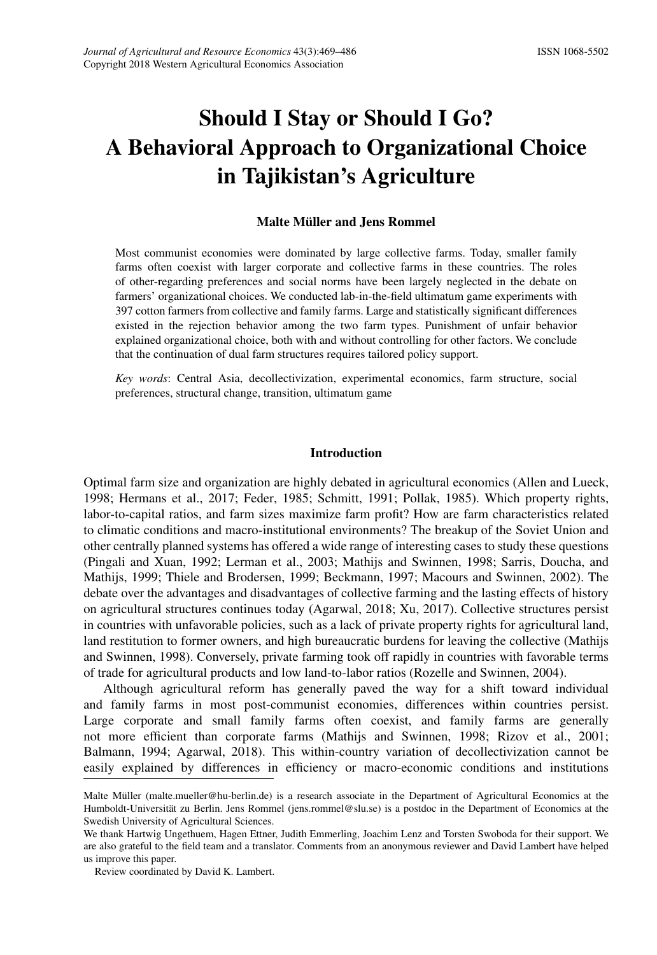# Should I Stay or Should I Go? A Behavioral Approach to Organizational Choice in Tajikistan's Agriculture

## Malte Müller and Jens Rommel

Most communist economies were dominated by large collective farms. Today, smaller family farms often coexist with larger corporate and collective farms in these countries. The roles of other-regarding preferences and social norms have been largely neglected in the debate on farmers' organizational choices. We conducted lab-in-the-field ultimatum game experiments with 397 cotton farmers from collective and family farms. Large and statistically significant differences existed in the rejection behavior among the two farm types. Punishment of unfair behavior explained organizational choice, both with and without controlling for other factors. We conclude that the continuation of dual farm structures requires tailored policy support.

*Key words*: Central Asia, decollectivization, experimental economics, farm structure, social preferences, structural change, transition, ultimatum game

#### Introduction

Optimal farm size and organization are highly debated in agricultural economics [\(Allen and Lueck,](#page-13-0) [1998;](#page-13-0) [Hermans et al.,](#page-15-0) [2017;](#page-15-0) [Feder,](#page-14-0) [1985;](#page-14-0) [Schmitt,](#page-17-1) [1991;](#page-17-1) [Pollak,](#page-16-0) [1985\)](#page-16-0). Which property rights, labor-to-capital ratios, and farm sizes maximize farm profit? How are farm characteristics related to climatic conditions and macro-institutional environments? The breakup of the Soviet Union and other centrally planned systems has offered a wide range of interesting cases to study these questions [\(Pingali and Xuan,](#page-16-1) [1992;](#page-16-1) [Lerman et al.,](#page-15-1) [2003;](#page-15-1) [Mathijs and Swinnen,](#page-16-2) [1998;](#page-16-2) [Sarris, Doucha, and](#page-17-2) [Mathijs,](#page-17-2) [1999;](#page-17-2) [Thiele and Brodersen,](#page-17-3) [1999;](#page-17-3) [Beckmann,](#page-13-1) [1997;](#page-13-1) [Macours and Swinnen,](#page-16-3) [2002\)](#page-16-3). The debate over the advantages and disadvantages of collective farming and the lasting effects of history on agricultural structures continues today [\(Agarwal,](#page-13-2) [2018;](#page-13-2) [Xu,](#page-17-4) [2017\)](#page-17-4). Collective structures persist in countries with unfavorable policies, such as a lack of private property rights for agricultural land, land restitution to former owners, and high bureaucratic burdens for leaving the collective [\(Mathijs](#page-16-2) [and Swinnen,](#page-16-2) [1998\)](#page-16-2). Conversely, private farming took off rapidly in countries with favorable terms of trade for agricultural products and low land-to-labor ratios [\(Rozelle and Swinnen,](#page-17-5) [2004\)](#page-17-5).

Although agricultural reform has generally paved the way for a shift toward individual and family farms in most post-communist economies, differences within countries persist. Large corporate and small family farms often coexist, and family farms are generally not more efficient than corporate farms [\(Mathijs and Swinnen,](#page-16-2) [1998;](#page-16-2) [Rizov et al.,](#page-16-4) [2001;](#page-16-4) [Balmann,](#page-13-3) [1994;](#page-13-3) [Agarwal,](#page-13-2) [2018\)](#page-13-2). This within-country variation of decollectivization cannot be easily explained by differences in efficiency or macro-economic conditions and institutions

Malte Müller (malte.mueller@hu-berlin.de) is a research associate in the Department of Agricultural Economics at the Humboldt-Universität zu Berlin. Jens Rommel (jens.rommel@slu.se) is a postdoc in the Department of Economics at the Swedish University of Agricultural Sciences.

We thank Hartwig Ungethuem, Hagen Ettner, Judith Emmerling, Joachim Lenz and Torsten Swoboda for their support. We are also grateful to the field team and a translator. Comments from an anonymous reviewer and David Lambert have helped us improve this paper.

Review coordinated by David K. Lambert.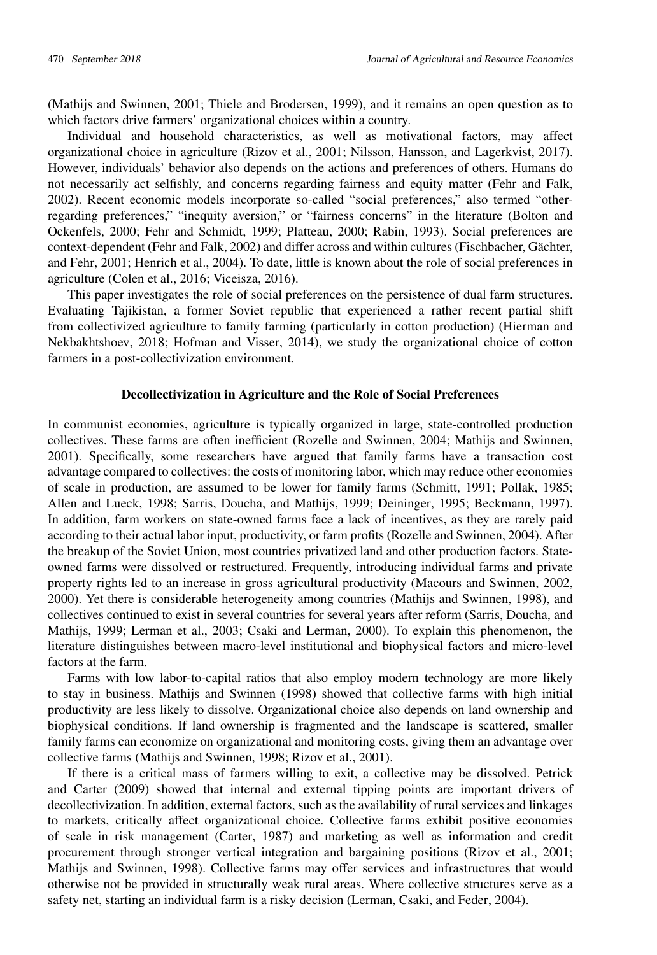[\(Mathijs and Swinnen,](#page-16-5) [2001;](#page-16-5) [Thiele and Brodersen,](#page-17-3) [1999\)](#page-17-3), and it remains an open question as to which factors drive farmers' organizational choices within a country.

Individual and household characteristics, as well as motivational factors, may affect organizational choice in agriculture [\(Rizov et al.,](#page-16-4) [2001;](#page-16-4) [Nilsson, Hansson, and Lagerkvist,](#page-16-6) [2017\)](#page-16-6). However, individuals' behavior also depends on the actions and preferences of others. Humans do not necessarily act selfishly, and concerns regarding fairness and equity matter [\(Fehr and Falk,](#page-14-1) [2002\)](#page-14-1). Recent economic models incorporate so-called "social preferences," also termed "otherregarding preferences," "inequity aversion," or "fairness concerns" in the literature [\(Bolton and](#page-13-4) [Ockenfels,](#page-13-4) [2000;](#page-13-4) [Fehr and Schmidt,](#page-14-2) [1999;](#page-14-2) [Platteau,](#page-16-7) [2000;](#page-16-7) [Rabin,](#page-16-8) [1993\)](#page-16-8). Social preferences are context-dependent [\(Fehr and Falk,](#page-14-1) [2002\)](#page-14-1) and differ across and within cultures [\(Fischbacher, Gächter,](#page-14-3) [and Fehr,](#page-14-3) [2001;](#page-14-3) [Henrich et al.,](#page-14-4) [2004\)](#page-14-4). To date, little is known about the role of social preferences in agriculture [\(Colen et al.,](#page-14-5) [2016;](#page-14-5) [Viceisza,](#page-17-6) [2016\)](#page-17-6).

This paper investigates the role of social preferences on the persistence of dual farm structures. Evaluating Tajikistan, a former Soviet republic that experienced a rather recent partial shift from collectivized agriculture to family farming (particularly in cotton production) [\(Hierman and](#page-15-2) [Nekbakhtshoev,](#page-15-2) [2018;](#page-15-2) [Hofman and Visser,](#page-15-3) [2014\)](#page-15-3), we study the organizational choice of cotton farmers in a post-collectivization environment.

#### Decollectivization in Agriculture and the Role of Social Preferences

In communist economies, agriculture is typically organized in large, state-controlled production collectives. These farms are often inefficient [\(Rozelle and Swinnen,](#page-17-5) [2004;](#page-17-5) [Mathijs and Swinnen,](#page-16-5) [2001\)](#page-16-5). Specifically, some researchers have argued that family farms have a transaction cost advantage compared to collectives: the costs of monitoring labor, which may reduce other economies of scale in production, are assumed to be lower for family farms [\(Schmitt,](#page-17-1) [1991;](#page-17-1) [Pollak,](#page-16-0) [1985;](#page-16-0) [Allen and Lueck,](#page-13-0) [1998;](#page-13-0) [Sarris, Doucha, and Mathijs,](#page-17-2) [1999;](#page-17-2) [Deininger,](#page-14-6) [1995;](#page-14-6) [Beckmann,](#page-13-1) [1997\)](#page-13-1). In addition, farm workers on state-owned farms face a lack of incentives, as they are rarely paid according to their actual labor input, productivity, or farm profits [\(Rozelle and Swinnen,](#page-17-5) [2004\)](#page-17-5). After the breakup of the Soviet Union, most countries privatized land and other production factors. Stateowned farms were dissolved or restructured. Frequently, introducing individual farms and private property rights led to an increase in gross agricultural productivity [\(Macours and Swinnen,](#page-16-3) [2002,](#page-16-3) [2000\)](#page-16-9). Yet there is considerable heterogeneity among countries [\(Mathijs and Swinnen,](#page-16-2) [1998\)](#page-16-2), and collectives continued to exist in several countries for several years after reform [\(Sarris, Doucha, and](#page-17-2) [Mathijs,](#page-17-2) [1999;](#page-17-2) [Lerman et al.,](#page-15-1) [2003;](#page-15-1) [Csaki and Lerman,](#page-14-7) [2000\)](#page-14-7). To explain this phenomenon, the literature distinguishes between macro-level institutional and biophysical factors and micro-level factors at the farm.

Farms with low labor-to-capital ratios that also employ modern technology are more likely to stay in business. [Mathijs and Swinnen](#page-16-2) [\(1998\)](#page-16-2) showed that collective farms with high initial productivity are less likely to dissolve. Organizational choice also depends on land ownership and biophysical conditions. If land ownership is fragmented and the landscape is scattered, smaller family farms can economize on organizational and monitoring costs, giving them an advantage over collective farms [\(Mathijs and Swinnen,](#page-16-2) [1998;](#page-16-2) [Rizov et al.,](#page-16-4) [2001\)](#page-16-4).

If there is a critical mass of farmers willing to exit, a collective may be dissolved. [Petrick](#page-16-10) [and Carter](#page-16-10) [\(2009\)](#page-16-10) showed that internal and external tipping points are important drivers of decollectivization. In addition, external factors, such as the availability of rural services and linkages to markets, critically affect organizational choice. Collective farms exhibit positive economies of scale in risk management [\(Carter,](#page-13-5) [1987\)](#page-13-5) and marketing as well as information and credit procurement through stronger vertical integration and bargaining positions [\(Rizov et al.,](#page-16-4) [2001;](#page-16-4) [Mathijs and Swinnen,](#page-16-2) [1998\)](#page-16-2). Collective farms may offer services and infrastructures that would otherwise not be provided in structurally weak rural areas. Where collective structures serve as a safety net, starting an individual farm is a risky decision [\(Lerman, Csaki, and Feder,](#page-15-4) [2004\)](#page-15-4).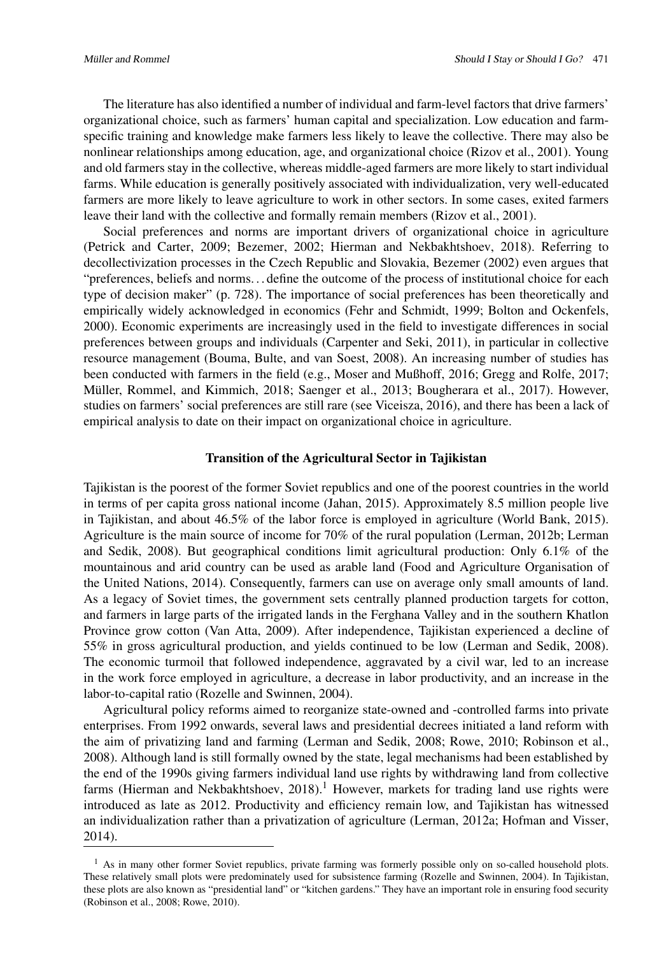The literature has also identified a number of individual and farm-level factors that drive farmers' organizational choice, such as farmers' human capital and specialization. Low education and farmspecific training and knowledge make farmers less likely to leave the collective. There may also be nonlinear relationships among education, age, and organizational choice [\(Rizov et al.,](#page-16-4) [2001\)](#page-16-4). Young and old farmers stay in the collective, whereas middle-aged farmers are more likely to start individual farms. While education is generally positively associated with individualization, very well-educated farmers are more likely to leave agriculture to work in other sectors. In some cases, exited farmers leave their land with the collective and formally remain members [\(Rizov et al.,](#page-16-4) [2001\)](#page-16-4).

Social preferences and norms are important drivers of organizational choice in agriculture [\(Petrick and Carter,](#page-16-10) [2009;](#page-16-10) [Bezemer,](#page-13-6) [2002;](#page-13-6) [Hierman and Nekbakhtshoev,](#page-15-2) [2018\)](#page-15-2). Referring to decollectivization processes in the Czech Republic and Slovakia, [Bezemer](#page-13-6) [\(2002\)](#page-13-6) even argues that "preferences, beliefs and norms. . . define the outcome of the process of institutional choice for each type of decision maker" (p. 728). The importance of social preferences has been theoretically and empirically widely acknowledged in economics [\(Fehr and Schmidt,](#page-14-2) [1999;](#page-14-2) [Bolton and Ockenfels,](#page-13-4) [2000\)](#page-13-4). Economic experiments are increasingly used in the field to investigate differences in social preferences between groups and individuals [\(Carpenter and Seki,](#page-13-7) [2011\)](#page-13-7), in particular in collective resource management [\(Bouma, Bulte, and van Soest,](#page-13-8) [2008\)](#page-13-8). An increasing number of studies has been conducted with farmers in the field (e.g., [Moser and Mußhoff,](#page-16-11) [2016;](#page-16-11) [Gregg and Rolfe,](#page-14-8) [2017;](#page-14-8) [Müller, Rommel, and Kimmich,](#page-16-12) [2018;](#page-16-12) [Saenger et al.,](#page-17-7) [2013;](#page-17-7) [Bougherara et al.,](#page-13-9) [2017\)](#page-13-9). However, studies on farmers' social preferences are still rare (see [Viceisza,](#page-17-6) [2016\)](#page-17-6), and there has been a lack of empirical analysis to date on their impact on organizational choice in agriculture.

#### Transition of the Agricultural Sector in Tajikistan

Tajikistan is the poorest of the former Soviet republics and one of the poorest countries in the world in terms of per capita gross national income [\(Jahan,](#page-15-5) [2015\)](#page-15-5). Approximately 8.5 million people live in Tajikistan, and about 46.5% of the labor force is employed in agriculture [\(World Bank,](#page-17-8) [2015\)](#page-17-8). Agriculture is the main source of income for 70% of the rural population [\(Lerman,](#page-15-6) [2012b;](#page-15-6) [Lerman](#page-15-7) [and Sedik,](#page-15-7) [2008\)](#page-15-7). But geographical conditions limit agricultural production: Only 6.1% of the mountainous and arid country can be used as arable land [\(Food and Agriculture Organisation of](#page-14-9) [the United Nations,](#page-14-9) [2014\)](#page-14-9). Consequently, farmers can use on average only small amounts of land. As a legacy of Soviet times, the government sets centrally planned production targets for cotton, and farmers in large parts of the irrigated lands in the Ferghana Valley and in the southern Khatlon Province grow cotton [\(Van Atta,](#page-17-9) [2009\)](#page-17-9). After independence, Tajikistan experienced a decline of 55% in gross agricultural production, and yields continued to be low [\(Lerman and Sedik,](#page-15-7) [2008\)](#page-15-7). The economic turmoil that followed independence, aggravated by a civil war, led to an increase in the work force employed in agriculture, a decrease in labor productivity, and an increase in the labor-to-capital ratio [\(Rozelle and Swinnen,](#page-17-5) [2004\)](#page-17-5).

Agricultural policy reforms aimed to reorganize state-owned and -controlled farms into private enterprises. From 1992 onwards, several laws and presidential decrees initiated a land reform with the aim of privatizing land and farming [\(Lerman and Sedik,](#page-15-7) [2008;](#page-15-7) [Rowe,](#page-17-10) [2010;](#page-17-10) [Robinson et al.,](#page-16-13) [2008\)](#page-16-13). Although land is still formally owned by the state, legal mechanisms had been established by the end of the 1990s giving farmers individual land use rights by withdrawing land from collective farms [\(Hierman and Nekbakhtshoev,](#page-15-2)  $2018$  $2018$  $2018$ ).<sup>1</sup> However, markets for trading land use rights were introduced as late as 2012. Productivity and efficiency remain low, and Tajikistan has witnessed an individualization rather than a privatization of agriculture [\(Lerman,](#page-15-8) [2012a;](#page-15-8) [Hofman and Visser,](#page-15-3) [2014\)](#page-15-3).

<span id="page-2-0"></span><sup>&</sup>lt;sup>1</sup> As in many other former Soviet republics, private farming was formerly possible only on so-called household plots. These relatively small plots were predominately used for subsistence farming [\(Rozelle and Swinnen,](#page-17-5) [2004\)](#page-17-5). In Tajikistan, these plots are also known as "presidential land" or "kitchen gardens." They have an important role in ensuring food security [\(Robinson et al.,](#page-16-13) [2008;](#page-16-13) [Rowe,](#page-17-10) [2010\)](#page-17-10).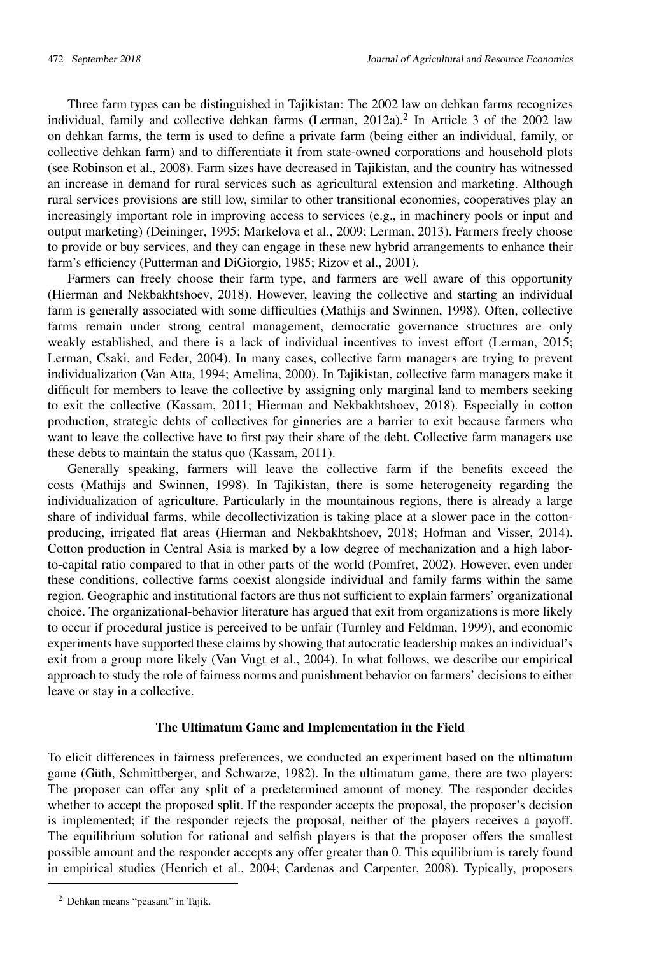Three farm types can be distinguished in Tajikistan: The 2002 law on dehkan farms recognizes individual, family and collective dehkan farms [\(Lerman,](#page-15-8) [2012a\)](#page-15-8).<sup>[2](#page-3-0)</sup> In Article 3 of the 2002 law on dehkan farms, the term is used to define a private farm (being either an individual, family, or collective dehkan farm) and to differentiate it from state-owned corporations and household plots (see [Robinson et al.,](#page-16-13) [2008\)](#page-16-13). Farm sizes have decreased in Tajikistan, and the country has witnessed an increase in demand for rural services such as agricultural extension and marketing. Although rural services provisions are still low, similar to other transitional economies, cooperatives play an increasingly important role in improving access to services (e.g., in machinery pools or input and output marketing) [\(Deininger,](#page-14-6) [1995;](#page-14-6) [Markelova et al.,](#page-16-14) [2009;](#page-16-14) [Lerman,](#page-15-9) [2013\)](#page-15-9). Farmers freely choose to provide or buy services, and they can engage in these new hybrid arrangements to enhance their farm's efficiency [\(Putterman and DiGiorgio,](#page-16-15) [1985;](#page-16-15) [Rizov et al.,](#page-16-4) [2001\)](#page-16-4).

Farmers can freely choose their farm type, and farmers are well aware of this opportunity [\(Hierman and Nekbakhtshoev,](#page-15-2) [2018\)](#page-15-2). However, leaving the collective and starting an individual farm is generally associated with some difficulties [\(Mathijs and Swinnen,](#page-16-2) [1998\)](#page-16-2). Often, collective farms remain under strong central management, democratic governance structures are only weakly established, and there is a lack of individual incentives to invest effort [\(Lerman,](#page-15-10) [2015;](#page-15-10) [Lerman, Csaki, and Feder,](#page-15-4) [2004\)](#page-15-4). In many cases, collective farm managers are trying to prevent individualization [\(Van Atta,](#page-17-11) [1994;](#page-17-11) [Amelina,](#page-13-10) [2000\)](#page-13-10). In Tajikistan, collective farm managers make it difficult for members to leave the collective by assigning only marginal land to members seeking to exit the collective [\(Kassam,](#page-15-11) [2011;](#page-15-11) [Hierman and Nekbakhtshoev,](#page-15-2) [2018\)](#page-15-2). Especially in cotton production, strategic debts of collectives for ginneries are a barrier to exit because farmers who want to leave the collective have to first pay their share of the debt. Collective farm managers use these debts to maintain the status quo [\(Kassam,](#page-15-11) [2011\)](#page-15-11).

Generally speaking, farmers will leave the collective farm if the benefits exceed the costs [\(Mathijs and Swinnen,](#page-16-2) [1998\)](#page-16-2). In Tajikistan, there is some heterogeneity regarding the individualization of agriculture. Particularly in the mountainous regions, there is already a large share of individual farms, while decollectivization is taking place at a slower pace in the cottonproducing, irrigated flat areas [\(Hierman and Nekbakhtshoev,](#page-15-2) [2018;](#page-15-2) [Hofman and Visser,](#page-15-3) [2014\)](#page-15-3). Cotton production in Central Asia is marked by a low degree of mechanization and a high laborto-capital ratio compared to that in other parts of the world [\(Pomfret,](#page-16-16) [2002\)](#page-16-16). However, even under these conditions, collective farms coexist alongside individual and family farms within the same region. Geographic and institutional factors are thus not sufficient to explain farmers' organizational choice. The organizational-behavior literature has argued that exit from organizations is more likely to occur if procedural justice is perceived to be unfair [\(Turnley and Feldman,](#page-17-12) [1999\)](#page-17-12), and economic experiments have supported these claims by showing that autocratic leadership makes an individual's exit from a group more likely [\(Van Vugt et al.,](#page-17-13) [2004\)](#page-17-13). In what follows, we describe our empirical approach to study the role of fairness norms and punishment behavior on farmers' decisions to either leave or stay in a collective.

#### The Ultimatum Game and Implementation in the Field

To elicit differences in fairness preferences, we conducted an experiment based on the ultimatum game [\(Güth, Schmittberger, and Schwarze,](#page-14-10) [1982\)](#page-14-10). In the ultimatum game, there are two players: The proposer can offer any split of a predetermined amount of money. The responder decides whether to accept the proposed split. If the responder accepts the proposal, the proposer's decision is implemented; if the responder rejects the proposal, neither of the players receives a payoff. The equilibrium solution for rational and selfish players is that the proposer offers the smallest possible amount and the responder accepts any offer greater than 0. This equilibrium is rarely found in empirical studies [\(Henrich et al.,](#page-14-4) [2004;](#page-14-4) [Cardenas and Carpenter,](#page-13-11) [2008\)](#page-13-11). Typically, proposers

<span id="page-3-0"></span><sup>2</sup> Dehkan means "peasant" in Tajik.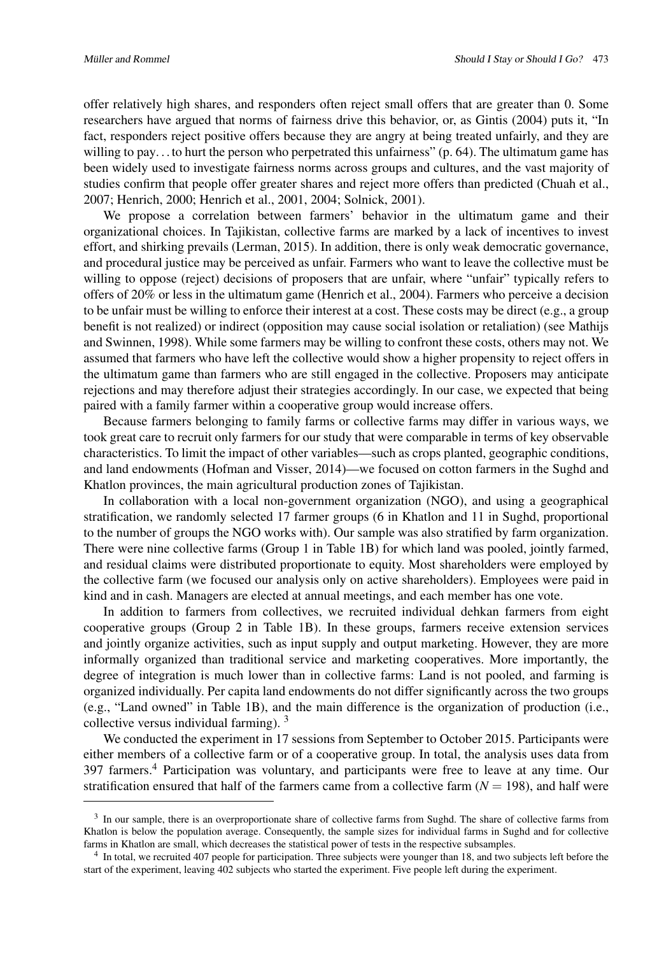offer relatively high shares, and responders often reject small offers that are greater than 0. Some researchers have argued that norms of fairness drive this behavior, or, as [Gintis](#page-14-11) [\(2004\)](#page-14-11) puts it, "In fact, responders reject positive offers because they are angry at being treated unfairly, and they are willing to pay... to hurt the person who perpetrated this unfairness" (p. 64). The ultimatum game has been widely used to investigate fairness norms across groups and cultures, and the vast majority of studies confirm that people offer greater shares and reject more offers than predicted [\(Chuah et al.,](#page-13-12) [2007;](#page-13-12) [Henrich,](#page-14-12) [2000;](#page-14-12) [Henrich et al.,](#page-14-13) [2001,](#page-14-13) [2004;](#page-14-4) [Solnick,](#page-17-14) [2001\)](#page-17-14).

We propose a correlation between farmers' behavior in the ultimatum game and their organizational choices. In Tajikistan, collective farms are marked by a lack of incentives to invest effort, and shirking prevails [\(Lerman,](#page-15-10) [2015\)](#page-15-10). In addition, there is only weak democratic governance, and procedural justice may be perceived as unfair. Farmers who want to leave the collective must be willing to oppose (reject) decisions of proposers that are unfair, where "unfair" typically refers to offers of 20% or less in the ultimatum game [\(Henrich et al.,](#page-14-4) [2004\)](#page-14-4). Farmers who perceive a decision to be unfair must be willing to enforce their interest at a cost. These costs may be direct (e.g., a group benefit is not realized) or indirect (opposition may cause social isolation or retaliation) (see [Mathijs](#page-16-2) [and Swinnen,](#page-16-2) [1998\)](#page-16-2). While some farmers may be willing to confront these costs, others may not. We assumed that farmers who have left the collective would show a higher propensity to reject offers in the ultimatum game than farmers who are still engaged in the collective. Proposers may anticipate rejections and may therefore adjust their strategies accordingly. In our case, we expected that being paired with a family farmer within a cooperative group would increase offers.

Because farmers belonging to family farms or collective farms may differ in various ways, we took great care to recruit only farmers for our study that were comparable in terms of key observable characteristics. To limit the impact of other variables—such as crops planted, geographic conditions, and land endowments [\(Hofman and Visser,](#page-15-3) [2014\)](#page-15-3)—we focused on cotton farmers in the Sughd and Khatlon provinces, the main agricultural production zones of Tajikistan.

In collaboration with a local non-government organization (NGO), and using a geographical stratification, we randomly selected 17 farmer groups (6 in Khatlon and 11 in Sughd, proportional to the number of groups the NGO works with). Our sample was also stratified by farm organization. There were nine collective farms (Group 1 in Table [1B\)](#page-7-0) for which land was pooled, jointly farmed, and residual claims were distributed proportionate to equity. Most shareholders were employed by the collective farm (we focused our analysis only on active shareholders). Employees were paid in kind and in cash. Managers are elected at annual meetings, and each member has one vote.

In addition to farmers from collectives, we recruited individual dehkan farmers from eight cooperative groups (Group 2 in Table [1B\)](#page-7-0). In these groups, farmers receive extension services and jointly organize activities, such as input supply and output marketing. However, they are more informally organized than traditional service and marketing cooperatives. More importantly, the degree of integration is much lower than in collective farms: Land is not pooled, and farming is organized individually. Per capita land endowments do not differ significantly across the two groups (e.g., "Land owned" in Table [1B\)](#page-7-0), and the main difference is the organization of production (i.e., collective versus individual farming).  $3$ 

We conducted the experiment in 17 sessions from September to October 2015. Participants were either members of a collective farm or of a cooperative group. In total, the analysis uses data from 397 farmers.[4](#page-4-1) Participation was voluntary, and participants were free to leave at any time. Our stratification ensured that half of the farmers came from a collective farm  $(N = 198)$ , and half were

<span id="page-4-0"></span><sup>&</sup>lt;sup>3</sup> In our sample, there is an overproportionate share of collective farms from Sughd. The share of collective farms from Khatlon is below the population average. Consequently, the sample sizes for individual farms in Sughd and for collective farms in Khatlon are small, which decreases the statistical power of tests in the respective subsamples.

<span id="page-4-1"></span><sup>&</sup>lt;sup>4</sup> In total, we recruited 407 people for participation. Three subjects were younger than 18, and two subjects left before the start of the experiment, leaving 402 subjects who started the experiment. Five people left during the experiment.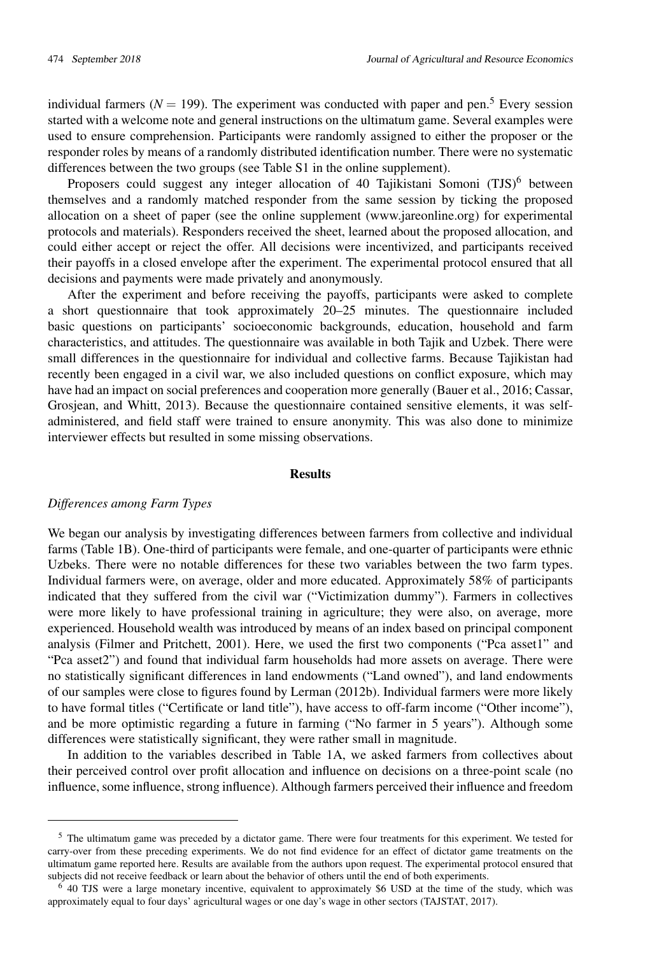individual farmers ( $N = 199$ ). The experiment was conducted with paper and pen.<sup>[5](#page-5-0)</sup> Every session started with a welcome note and general instructions on the ultimatum game. Several examples were used to ensure comprehension. Participants were randomly assigned to either the proposer or the responder roles by means of a randomly distributed identification number. There were no systematic differences between the two groups (see Table S1 in the online supplement).

Proposers could suggest any integer allocation of 40 Tajikistani Somoni (TJS)<sup>[6](#page-5-1)</sup> between themselves and a randomly matched responder from the same session by ticking the proposed allocation on a sheet of paper (see the online supplement (www.jareonline.org) for experimental protocols and materials). Responders received the sheet, learned about the proposed allocation, and could either accept or reject the offer. All decisions were incentivized, and participants received their payoffs in a closed envelope after the experiment. The experimental protocol ensured that all decisions and payments were made privately and anonymously.

After the experiment and before receiving the payoffs, participants were asked to complete a short questionnaire that took approximately 20–25 minutes. The questionnaire included basic questions on participants' socioeconomic backgrounds, education, household and farm characteristics, and attitudes. The questionnaire was available in both Tajik and Uzbek. There were small differences in the questionnaire for individual and collective farms. Because Tajikistan had recently been engaged in a civil war, we also included questions on conflict exposure, which may have had an impact on social preferences and cooperation more generally [\(Bauer et al.,](#page-13-13) [2016;](#page-13-13) [Cassar,](#page-13-14) [Grosjean, and Whitt,](#page-13-14) [2013\)](#page-13-14). Because the questionnaire contained sensitive elements, it was selfadministered, and field staff were trained to ensure anonymity. This was also done to minimize interviewer effects but resulted in some missing observations.

#### Results

#### *Differences among Farm Types*

We began our analysis by investigating differences between farmers from collective and individual farms (Table [1B\)](#page-7-0). One-third of participants were female, and one-quarter of participants were ethnic Uzbeks. There were no notable differences for these two variables between the two farm types. Individual farmers were, on average, older and more educated. Approximately 58% of participants indicated that they suffered from the civil war ("Victimization dummy"). Farmers in collectives were more likely to have professional training in agriculture; they were also, on average, more experienced. Household wealth was introduced by means of an index based on principal component analysis [\(Filmer and Pritchett,](#page-14-14) [2001\)](#page-14-14). Here, we used the first two components ("Pca asset1" and "Pca asset2") and found that individual farm households had more assets on average. There were no statistically significant differences in land endowments ("Land owned"), and land endowments of our samples were close to figures found by [Lerman](#page-15-6) [\(2012b\)](#page-15-6). Individual farmers were more likely to have formal titles ("Certificate or land title"), have access to off-farm income ("Other income"), and be more optimistic regarding a future in farming ("No farmer in 5 years"). Although some differences were statistically significant, they were rather small in magnitude.

In addition to the variables described in Table [1A,](#page-6-0) we asked farmers from collectives about their perceived control over profit allocation and influence on decisions on a three-point scale (no influence, some influence, strong influence). Although farmers perceived their influence and freedom

<span id="page-5-0"></span><sup>5</sup> The ultimatum game was preceded by a dictator game. There were four treatments for this experiment. We tested for carry-over from these preceding experiments. We do not find evidence for an effect of dictator game treatments on the ultimatum game reported here. Results are available from the authors upon request. The experimental protocol ensured that subjects did not receive feedback or learn about the behavior of others until the end of both experiments.

<span id="page-5-1"></span><sup>6</sup> 40 TJS were a large monetary incentive, equivalent to approximately \$6 USD at the time of the study, which was approximately equal to four days' agricultural wages or one day's wage in other sectors [\(TAJSTAT,](#page-17-15) [2017\)](#page-17-15).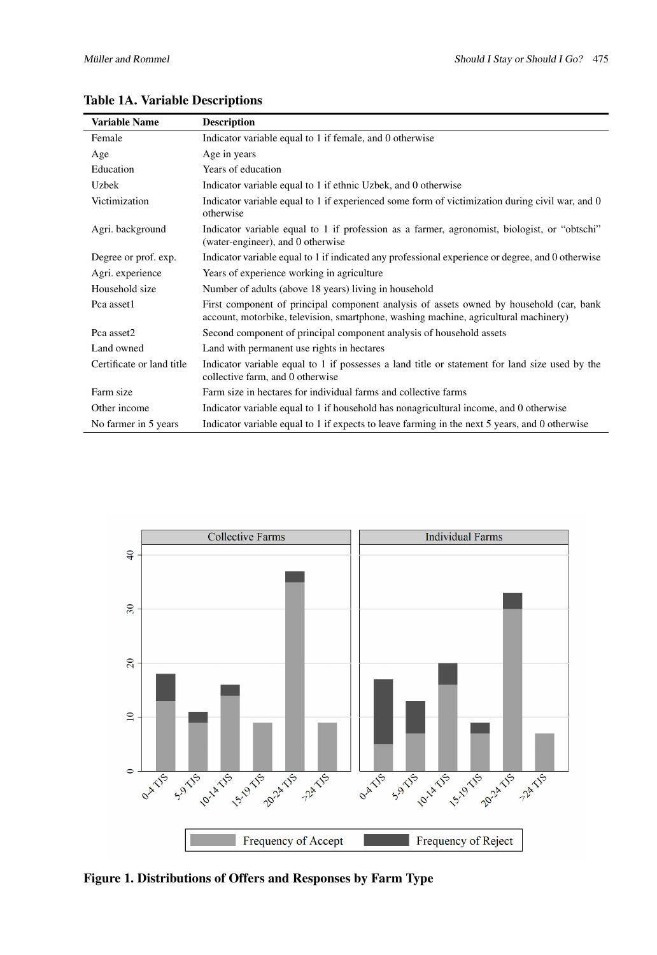| <b>Variable Name</b>      | <b>Description</b>                                                                                                                                                              |
|---------------------------|---------------------------------------------------------------------------------------------------------------------------------------------------------------------------------|
| Female                    | Indicator variable equal to 1 if female, and 0 otherwise                                                                                                                        |
| Age                       | Age in years                                                                                                                                                                    |
| Education                 | Years of education                                                                                                                                                              |
| Uzbek                     | Indicator variable equal to 1 if ethnic Uzbek, and 0 otherwise                                                                                                                  |
| Victimization             | Indicator variable equal to 1 if experienced some form of victimization during civil war, and 0<br>otherwise                                                                    |
| Agri. background          | Indicator variable equal to 1 if profession as a farmer, agronomist, biologist, or "obtschi"<br>(water-engineer), and 0 otherwise                                               |
| Degree or prof. exp.      | Indicator variable equal to 1 if indicated any professional experience or degree, and 0 otherwise                                                                               |
| Agri. experience          | Years of experience working in agriculture                                                                                                                                      |
| Household size            | Number of adults (above 18 years) living in household                                                                                                                           |
| Pca asset1                | First component of principal component analysis of assets owned by household (car, bank<br>account, motorbike, television, smartphone, washing machine, agricultural machinery) |
| Pca asset2                | Second component of principal component analysis of household assets                                                                                                            |
| Land owned                | Land with permanent use rights in hectares                                                                                                                                      |
| Certificate or land title | Indicator variable equal to 1 if possesses a land title or statement for land size used by the<br>collective farm, and 0 otherwise                                              |
| Farm size                 | Farm size in hectares for individual farms and collective farms                                                                                                                 |
| Other income              | Indicator variable equal to 1 if household has nonagricultural income, and 0 otherwise                                                                                          |
| No farmer in 5 years      | Indicator variable equal to 1 if expects to leave farming in the next 5 years, and 0 otherwise                                                                                  |

# <span id="page-6-0"></span>Table 1A. Variable Descriptions



<span id="page-6-1"></span>Figure 1. Distributions of Offers and Responses by Farm Type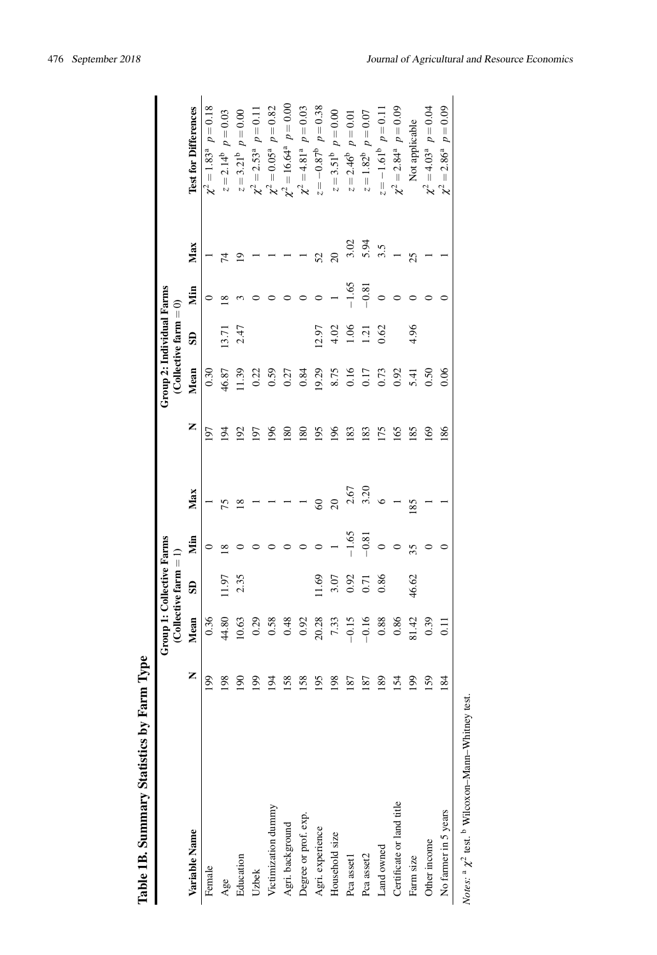<span id="page-7-0"></span>

| Table 1B. Summary Statistics by Farm | Type           |                                  |                          |             |                 |     |                           |                          |          |                         |                                       |
|--------------------------------------|----------------|----------------------------------|--------------------------|-------------|-----------------|-----|---------------------------|--------------------------|----------|-------------------------|---------------------------------------|
|                                      |                | <b>Group 1: Collective Farms</b> | (Collective farm $= 1$ ) |             |                 |     | Group 2: Individual Farms | (Collective farm $= 0$ ) |          |                         |                                       |
| Variable Name                        | Z              | Mean                             | $\mathbf{S}$             | Мin         | Max             | Z   | Mean                      | $\overline{\mathbf{s}}$  | Nin      | Max                     | <b>Test for Differences</b>           |
| Female                               | $\overline{6}$ | 0.36                             |                          |             |                 | 197 | 0.30                      |                          |          |                         | $p = 0.18$<br>$\chi^2 = 1.83^{\rm a}$ |
| Age                                  | 98             | 44.80                            | 1.97                     | $^{\infty}$ | 75              | 194 | 46.87                     | 13.71                    | $\infty$ | 74                      | $p = 0.03$<br>$z = 2.14^{b}$          |
| Education                            | $\infty$       | 10.63                            | 2.35                     |             | $\frac{8}{2}$   | 192 | 11.39                     | 2.47                     |          | 2                       | $p = 0.00$<br>$z=3.21^{\rm b}$        |
| Uzbek                                | 99             | 0.29                             |                          |             |                 | 197 | 0.22                      |                          |          |                         | $\chi^2 = 2.53^{\circ}$ $p = 0.11$    |
| Victimization dummy                  | $\overline{5}$ | 0.58                             |                          |             |                 | 196 | 0.59                      |                          |          |                         | $\chi^2 = 0.05^a$ $p = 0.82$          |
| Agri. background                     | 58             | 0.48                             |                          |             |                 | 180 | 0.27                      |                          |          |                         | $\chi^2 = 16.64^{\circ}$ $p = 0.00$   |
| Degree or prof. exp.                 | 58             | 0.92                             |                          |             |                 | 180 | 0.84                      |                          |          |                         | $p = 0.03$<br>$\chi^2=4.81^{\rm a}$   |
| Agri. experience                     | 95             | 20.28                            | 1.69                     |             | $\infty$        | 195 | 19.29                     | 12.97                    |          | 52                      | $z = -0.87^{\circ}$ $p = 0.38$        |
| Household size                       | 98             | 7.33                             | 3.07                     |             | $\overline{20}$ | 196 | 8.75                      | 4.02                     |          | $\overline{20}$         | $p = 0.00$<br>$z = 3.51^b$            |
| Pca asset1                           | 87             | $-0.15$                          | 0.92                     | $-1.65$     | 2.67            | 183 | 0.16                      | 1.06                     | $-1.65$  | 3.02                    | $p = 0.01$<br>$z = 2.46^b$            |
| Pca asset2                           | $\sqrt{8}$     | $-0.16$                          | 0.71                     | $-0.81$     | 3.20            | 183 | 0.17                      | 1.21                     | $-0.81$  | $5.\overline{5}$<br>3.5 | $p = 0.07$<br>$z=1.82^{\rm b}$        |
| Land owned                           | 89             | 0.88                             | 0.86                     |             |                 | 175 | 0.73                      | 0.62                     |          |                         | $z = -1.61^b$ $p = 0.11$              |
| Certificate or land title            | 54             | 0.86                             |                          |             |                 | 165 | 0.92                      |                          |          |                         | $\chi^2 = 2.84^a$ $p = 0.09$          |
| Farm size                            | $\overline{6}$ | 81.42                            | 46.62                    | 35          | 185             | 185 | 5.41                      | 4.96                     |          | 25                      | Not applicable                        |
| Other income                         | 59             | 0.39                             |                          |             |                 | 169 | 0.50                      |                          |          |                         | $\chi^2 = 4.03^a$ $p = 0.04$          |
| No farmer in 5 years                 | 84             | $\overline{11}$                  |                          |             |                 | 186 | 0.06                      |                          |          |                         | $\chi^2 = 2.86^a$ $p = 0.09$          |
|                                      |                |                                  |                          |             |                 |     |                           |                          |          |                         |                                       |

*Notes*:  $\alpha \chi^2$  test.

Wilcoxon–Mann–Whitney test.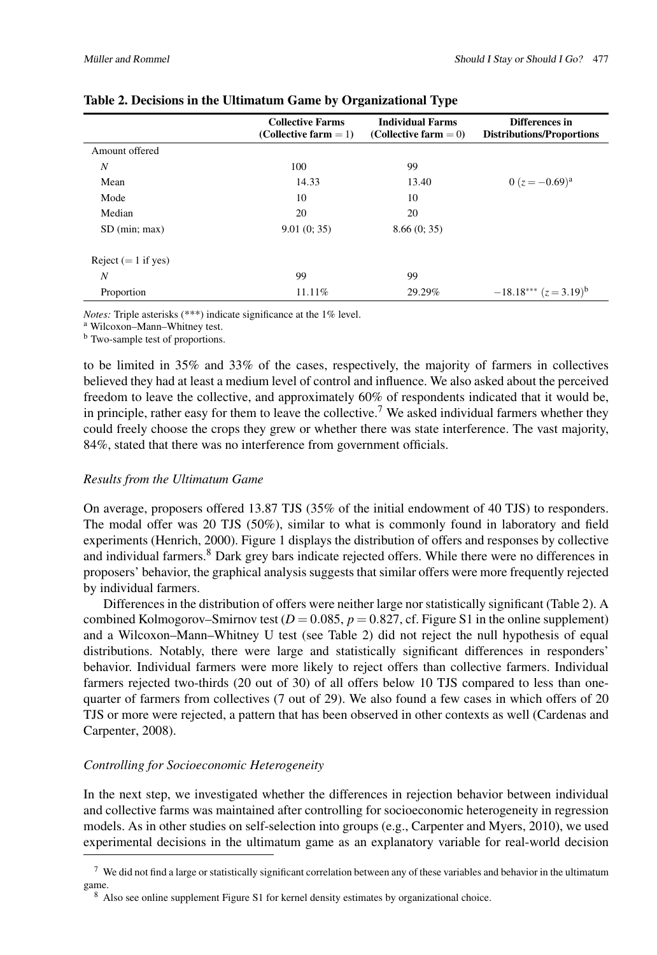|                       | <b>Collective Farms</b><br>(Collective farm $= 1$ ) | <b>Individual Farms</b><br>(Collective farm $= 0$ ) | Differences in<br><b>Distributions/Proportions</b> |
|-----------------------|-----------------------------------------------------|-----------------------------------------------------|----------------------------------------------------|
| Amount offered        |                                                     |                                                     |                                                    |
| $\boldsymbol{N}$      | 100                                                 | 99                                                  |                                                    |
| Mean                  | 14.33                                               | 13.40                                               | $0(z=-0.69)^{a}$                                   |
| Mode                  | 10                                                  | 10                                                  |                                                    |
| Median                | 20                                                  | 20                                                  |                                                    |
| SD (min; max)         | 9.01(0; 35)                                         | 8.66(0; 35)                                         |                                                    |
| Reject $(= 1$ if yes) |                                                     |                                                     |                                                    |
| N                     | 99                                                  | 99                                                  |                                                    |
| Proportion            | 11.11%                                              | 29.29%                                              | $-18.18***$ $(z=3.19)^{b}$                         |

# Table 2. Decisions in the Ultimatum Game by Organizational Type

*Notes:* Triple asterisks (\*\*\*) indicate significance at the 1% level.

<sup>a</sup> Wilcoxon–Mann–Whitney test.

<sup>b</sup> Two-sample test of proportions.

to be limited in 35% and 33% of the cases, respectively, the majority of farmers in collectives believed they had at least a medium level of control and influence. We also asked about the perceived freedom to leave the collective, and approximately 60% of respondents indicated that it would be, in principle, rather easy for them to leave the collective.<sup>[7](#page-8-0)</sup> We asked individual farmers whether they could freely choose the crops they grew or whether there was state interference. The vast majority, 84%, stated that there was no interference from government officials.

# *Results from the Ultimatum Game*

On average, proposers offered 13.87 TJS (35% of the initial endowment of 40 TJS) to responders. The modal offer was 20 TJS (50%), similar to what is commonly found in laboratory and field experiments [\(Henrich,](#page-14-12) [2000\)](#page-14-12). Figure [1](#page-6-1) displays the distribution of offers and responses by collective and individual farmers.<sup>[8](#page-8-1)</sup> Dark grey bars indicate rejected offers. While there were no differences in proposers' behavior, the graphical analysis suggests that similar offers were more frequently rejected by individual farmers.

Differences in the distribution of offers were neither large nor statistically significant (Table [2\)](#page-7-0). A combined Kolmogorov–Smirnov test  $(D = 0.085, p = 0.827, cf.$  Figure S1 in the online supplement) and a Wilcoxon–Mann–Whitney U test (see Table [2\)](#page-7-0) did not reject the null hypothesis of equal distributions. Notably, there were large and statistically significant differences in responders' behavior. Individual farmers were more likely to reject offers than collective farmers. Individual farmers rejected two-thirds (20 out of 30) of all offers below 10 TJS compared to less than onequarter of farmers from collectives (7 out of 29). We also found a few cases in which offers of 20 TJS or more were rejected, a pattern that has been observed in other contexts as well [\(Cardenas and](#page-13-11) [Carpenter,](#page-13-11) [2008\)](#page-13-11).

# *Controlling for Socioeconomic Heterogeneity*

In the next step, we investigated whether the differences in rejection behavior between individual and collective farms was maintained after controlling for socioeconomic heterogeneity in regression models. As in other studies on self-selection into groups (e.g., [Carpenter and Myers,](#page-13-15) [2010\)](#page-13-15), we used experimental decisions in the ultimatum game as an explanatory variable for real-world decision

<span id="page-8-0"></span> $7\,$  We did not find a large or statistically significant correlation between any of these variables and behavior in the ultimatum game.

<span id="page-8-1"></span><sup>8</sup> Also see online supplement Figure S1 for kernel density estimates by organizational choice.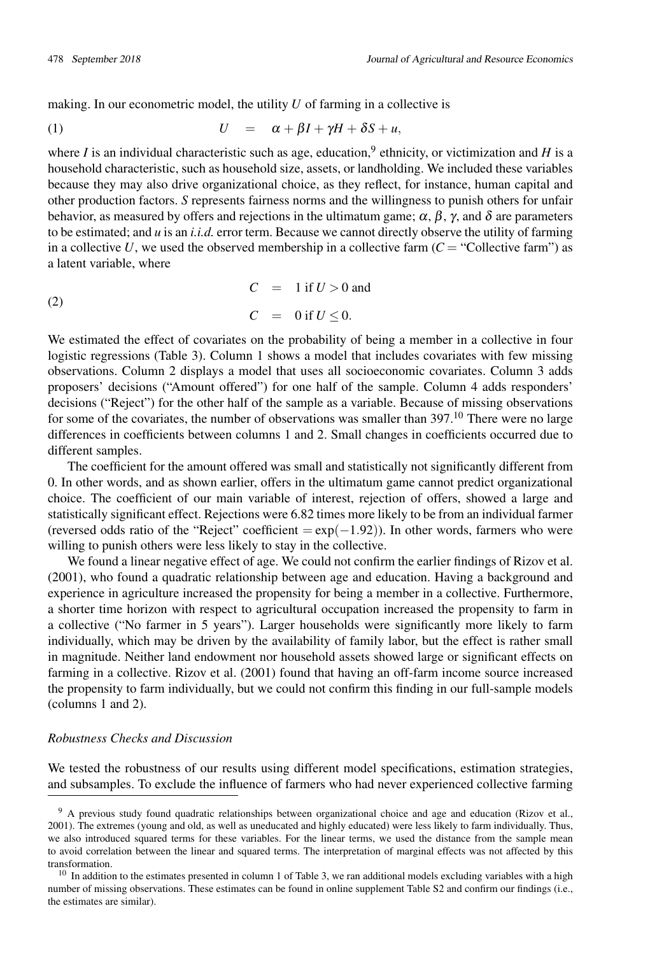making. In our econometric model, the utility *U* of farming in a collective is

$$
(1) \tU = \alpha + \beta I + \gamma H + \delta S + u,
$$

where *I* is an individual characteristic such as age, education,  $9$  ethnicity, or victimization and *H* is a household characteristic, such as household size, assets, or landholding. We included these variables because they may also drive organizational choice, as they reflect, for instance, human capital and other production factors. *S* represents fairness norms and the willingness to punish others for unfair behavior, as measured by offers and rejections in the ultimatum game;  $\alpha$ ,  $\beta$ ,  $\gamma$ , and  $\delta$  are parameters to be estimated; and *u* is an *i.i.d.* error term. Because we cannot directly observe the utility of farming in a collective  $U$ , we used the observed membership in a collective farm  $(C = "Collective farm")$  as a latent variable, where

$$
C = 1 \text{ if } U > 0 \text{ and}
$$
  

$$
C = 0 \text{ if } U \le 0.
$$

We estimated the effect of covariates on the probability of being a member in a collective in four logistic regressions (Table [3\)](#page-10-0). Column 1 shows a model that includes covariates with few missing observations. Column 2 displays a model that uses all socioeconomic covariates. Column 3 adds proposers' decisions ("Amount offered") for one half of the sample. Column 4 adds responders' decisions ("Reject") for the other half of the sample as a variable. Because of missing observations for some of the covariates, the number of observations was smaller than 397.<sup>[10](#page-9-1)</sup> There were no large differences in coefficients between columns 1 and 2. Small changes in coefficients occurred due to different samples.

The coefficient for the amount offered was small and statistically not significantly different from 0. In other words, and as shown earlier, offers in the ultimatum game cannot predict organizational choice. The coefficient of our main variable of interest, rejection of offers, showed a large and statistically significant effect. Rejections were 6.82 times more likely to be from an individual farmer (reversed odds ratio of the "Reject" coefficient =  $\exp(-1.92)$ ). In other words, farmers who were willing to punish others were less likely to stay in the collective.

We found a linear negative effect of age. We could not confirm the earlier findings of [Rizov et al.](#page-16-4) [\(2001\)](#page-16-4), who found a quadratic relationship between age and education. Having a background and experience in agriculture increased the propensity for being a member in a collective. Furthermore, a shorter time horizon with respect to agricultural occupation increased the propensity to farm in a collective ("No farmer in 5 years"). Larger households were significantly more likely to farm individually, which may be driven by the availability of family labor, but the effect is rather small in magnitude. Neither land endowment nor household assets showed large or significant effects on farming in a collective. [Rizov et al.](#page-16-4) [\(2001\)](#page-16-4) found that having an off-farm income source increased the propensity to farm individually, but we could not confirm this finding in our full-sample models (columns 1 and 2).

# *Robustness Checks and Discussion*

We tested the robustness of our results using different model specifications, estimation strategies, and subsamples. To exclude the influence of farmers who had never experienced collective farming

<span id="page-9-0"></span><sup>&</sup>lt;sup>9</sup> A previous study found quadratic relationships between organizational choice and age and education [\(Rizov et al.,](#page-16-4) [2001\)](#page-16-4). The extremes (young and old, as well as uneducated and highly educated) were less likely to farm individually. Thus, we also introduced squared terms for these variables. For the linear terms, we used the distance from the sample mean to avoid correlation between the linear and squared terms. The interpretation of marginal effects was not affected by this transformation.

<span id="page-9-1"></span> $10$  In addition to the estimates presented in column 1 of Table [3,](#page-10-0) we ran additional models excluding variables with a high number of missing observations. These estimates can be found in online supplement Table S2 and confirm our findings (i.e., the estimates are similar).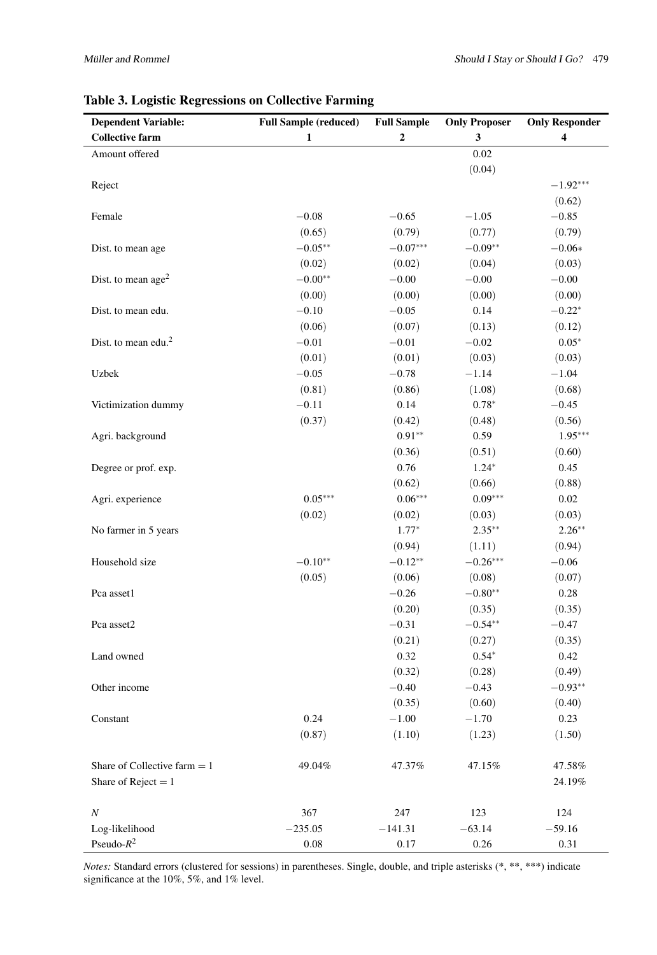| <b>Dependent Variable:</b>      | <b>Full Sample (reduced)</b> | <b>Full Sample</b> | <b>Only Proposer</b> | <b>Only Responder</b> |
|---------------------------------|------------------------------|--------------------|----------------------|-----------------------|
| <b>Collective farm</b>          | 1                            | $\mathbf 2$        | 3                    | 4                     |
| Amount offered                  |                              |                    | $0.02\,$             |                       |
|                                 |                              |                    | (0.04)               |                       |
| Reject                          |                              |                    |                      | $-1.92***$            |
|                                 |                              |                    |                      | (0.62)                |
| Female                          | $-0.08$                      | $-0.65$            | $-1.05$              | $-0.85$               |
|                                 | (0.65)                       | (0.79)             | (0.77)               | (0.79)                |
| Dist. to mean age               | $-0.05**$                    | $-0.07***$         | $-0.09**$            | $-0.06*$              |
|                                 | (0.02)                       | (0.02)             | (0.04)               | (0.03)                |
| Dist. to mean $age2$            | $-0.00**$                    | $-0.00$            | $-0.00\,$            | $-0.00$               |
|                                 | (0.00)                       | (0.00)             | (0.00)               | (0.00)                |
| Dist. to mean edu.              | $-0.10$                      | $-0.05$            | 0.14                 | $-0.22*$              |
|                                 | (0.06)                       | (0.07)             | (0.13)               | (0.12)                |
| Dist. to mean edu. <sup>2</sup> | $-0.01$                      | $-0.01$            | $-0.02$              | $0.05*$               |
|                                 | (0.01)                       | (0.01)             | (0.03)               | (0.03)                |
| Uzbek                           | $-0.05$                      | $-0.78$            | $-1.14$              | $-1.04$               |
|                                 | (0.81)                       | (0.86)             | (1.08)               | (0.68)                |
| Victimization dummy             | $-0.11$                      | 0.14               | $0.78*$              | $-0.45$               |
|                                 | (0.37)                       | (0.42)             | (0.48)               | (0.56)                |
| Agri. background                |                              | $0.91**$           | 0.59                 | $1.95***$             |
|                                 |                              | (0.36)             | (0.51)               | (0.60)                |
| Degree or prof. exp.            |                              | 0.76               | $1.24*$              | 0.45                  |
|                                 |                              | (0.62)             | (0.66)               | (0.88)                |
| Agri. experience                | $0.05***$                    | $0.06***$          | $0.09***$            | 0.02                  |
|                                 | (0.02)                       | (0.02)             | (0.03)               | (0.03)                |
| No farmer in 5 years            |                              | $1.77*$            | $2.35***$            | $2.26***$             |
|                                 |                              | (0.94)             | (1.11)               | (0.94)                |
| Household size                  | $-0.10**$                    | $-0.12**$          | $-0.26***$           | $-0.06$               |
|                                 | (0.05)                       | (0.06)             | (0.08)               | (0.07)                |
| Pca asset1                      |                              | $-0.26$            | $-0.80**$            | 0.28                  |
|                                 |                              | (0.20)             | (0.35)               | (0.35)                |
| Pca asset2                      |                              | $-0.31$            | $-0.54**$            | $-0.47$               |
|                                 |                              | (0.21)             | (0.27)               | (0.35)                |
| Land owned                      |                              | 0.32               | $0.54*$              | 0.42                  |
|                                 |                              | (0.32)             | (0.28)               | (0.49)                |
| Other income                    |                              | $-0.40$            | $-0.43$              | $-0.93**$             |
|                                 |                              | (0.35)             | (0.60)               | (0.40)                |
| Constant                        | 0.24                         | $-1.00$            | $-1.70$              | 0.23                  |
|                                 | (0.87)                       | (1.10)             | (1.23)               | (1.50)                |
|                                 |                              |                    |                      |                       |
| Share of Collective farm $= 1$  | 49.04%                       | 47.37%             | 47.15%               | 47.58%                |
| Share of Reject = $1$           |                              |                    |                      | 24.19%                |
| $\boldsymbol{N}$                | 367                          | 247                | 123                  | 124                   |
| Log-likelihood                  | $-235.05$                    | $-141.31$          | $-63.14$             | $-59.16$              |
| Pseudo- $R^2$                   | $0.08\,$                     | 0.17               | 0.26                 | 0.31                  |

# <span id="page-10-0"></span>Table 3. Logistic Regressions on Collective Farming

*Notes:* Standard errors (clustered for sessions) in parentheses. Single, double, and triple asterisks (\*, \*\*, \*\*\*) indicate significance at the 10%, 5%, and 1% level.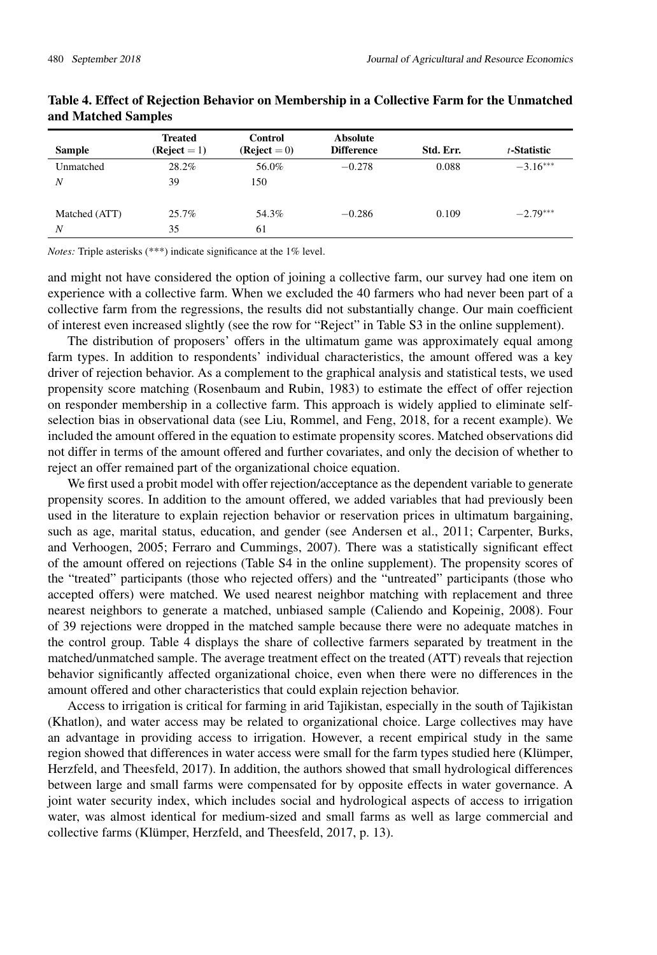|               | <b>Treated</b> | Control        | <b>Absolute</b>   |           |             |
|---------------|----------------|----------------|-------------------|-----------|-------------|
| <b>Sample</b> | $(Reject = 1)$ | $(Reject = 0)$ | <b>Difference</b> | Std. Err. | t-Statistic |
| Unmatched     | 28.2%          | 56.0%          | $-0.278$          | 0.088     | $-3.16***$  |
| N             | 39             | 150            |                   |           |             |
|               |                |                |                   |           |             |
| Matched (ATT) | 25.7%          | 54.3%          | $-0.286$          | 0.109     | $-2.79***$  |
| N             | 35             | 61             |                   |           |             |

## <span id="page-11-0"></span>Table 4. Effect of Rejection Behavior on Membership in a Collective Farm for the Unmatched and Matched Samples

*Notes:* Triple asterisks (\*\*\*) indicate significance at the 1% level.

and might not have considered the option of joining a collective farm, our survey had one item on experience with a collective farm. When we excluded the 40 farmers who had never been part of a collective farm from the regressions, the results did not substantially change. Our main coefficient of interest even increased slightly (see the row for "Reject" in Table S3 in the online supplement).

The distribution of proposers' offers in the ultimatum game was approximately equal among farm types. In addition to respondents' individual characteristics, the amount offered was a key driver of rejection behavior. As a complement to the graphical analysis and statistical tests, we used propensity score matching [\(Rosenbaum and Rubin,](#page-17-16) [1983\)](#page-17-16) to estimate the effect of offer rejection on responder membership in a collective farm. This approach is widely applied to eliminate selfselection bias in observational data (see [Liu, Rommel, and Feng,](#page-15-12) [2018,](#page-15-12) for a recent example). We included the amount offered in the equation to estimate propensity scores. Matched observations did not differ in terms of the amount offered and further covariates, and only the decision of whether to reject an offer remained part of the organizational choice equation.

We first used a probit model with offer rejection/acceptance as the dependent variable to generate propensity scores. In addition to the amount offered, we added variables that had previously been used in the literature to explain rejection behavior or reservation prices in ultimatum bargaining, such as age, marital status, education, and gender (see [Andersen et al.,](#page-13-16) [2011;](#page-13-16) [Carpenter, Burks,](#page-13-17) [and Verhoogen,](#page-13-17) [2005;](#page-13-17) [Ferraro and Cummings,](#page-14-15) [2007\)](#page-14-15). There was a statistically significant effect of the amount offered on rejections (Table S4 in the online supplement). The propensity scores of the "treated" participants (those who rejected offers) and the "untreated" participants (those who accepted offers) were matched. We used nearest neighbor matching with replacement and three nearest neighbors to generate a matched, unbiased sample [\(Caliendo and Kopeinig,](#page-13-18) [2008\)](#page-13-18). Four of 39 rejections were dropped in the matched sample because there were no adequate matches in the control group. Table [4](#page-11-0) displays the share of collective farmers separated by treatment in the matched/unmatched sample. The average treatment effect on the treated (ATT) reveals that rejection behavior significantly affected organizational choice, even when there were no differences in the amount offered and other characteristics that could explain rejection behavior.

Access to irrigation is critical for farming in arid Tajikistan, especially in the south of Tajikistan (Khatlon), and water access may be related to organizational choice. Large collectives may have an advantage in providing access to irrigation. However, a recent empirical study in the same region showed that differences in water access were small for the farm types studied here [\(Klümper,](#page-15-13) [Herzfeld, and Theesfeld,](#page-15-13) [2017\)](#page-15-13). In addition, the authors showed that small hydrological differences between large and small farms were compensated for by opposite effects in water governance. A joint water security index, which includes social and hydrological aspects of access to irrigation water, was almost identical for medium-sized and small farms as well as large commercial and collective farms [\(Klümper, Herzfeld, and Theesfeld,](#page-15-13) [2017,](#page-15-13) p. 13).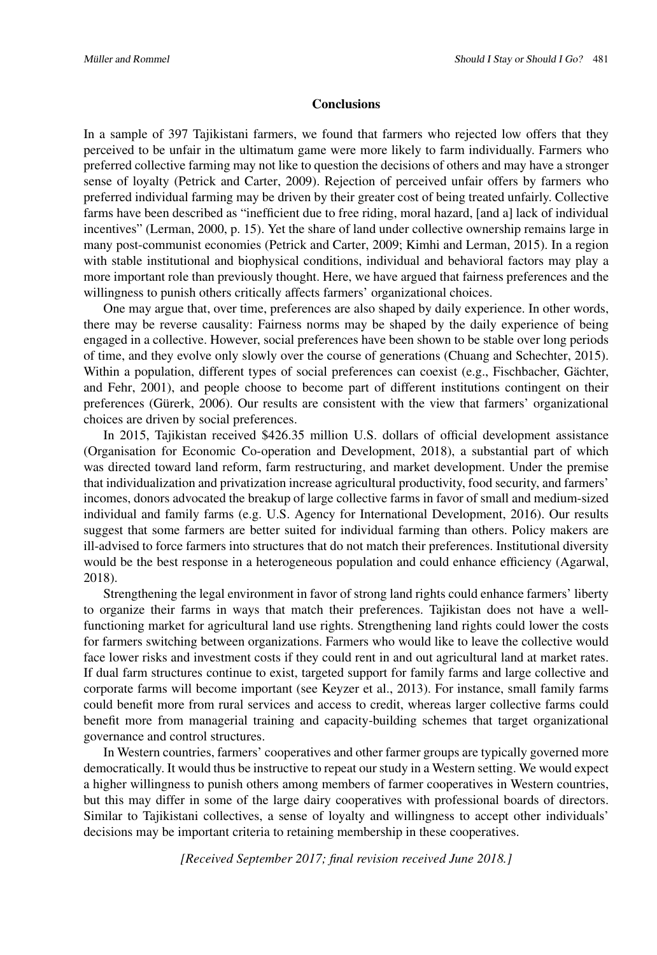#### **Conclusions**

In a sample of 397 Tajikistani farmers, we found that farmers who rejected low offers that they perceived to be unfair in the ultimatum game were more likely to farm individually. Farmers who preferred collective farming may not like to question the decisions of others and may have a stronger sense of loyalty [\(Petrick and Carter,](#page-16-10) [2009\)](#page-16-10). Rejection of perceived unfair offers by farmers who preferred individual farming may be driven by their greater cost of being treated unfairly. Collective farms have been described as "inefficient due to free riding, moral hazard, [and a] lack of individual incentives" [\(Lerman,](#page-15-14) [2000,](#page-15-14) p. 15). Yet the share of land under collective ownership remains large in many post-communist economies [\(Petrick and Carter,](#page-16-10) [2009;](#page-16-10) [Kimhi and Lerman,](#page-15-15) [2015\)](#page-15-15). In a region with stable institutional and biophysical conditions, individual and behavioral factors may play a more important role than previously thought. Here, we have argued that fairness preferences and the willingness to punish others critically affects farmers' organizational choices.

One may argue that, over time, preferences are also shaped by daily experience. In other words, there may be reverse causality: Fairness norms may be shaped by the daily experience of being engaged in a collective. However, social preferences have been shown to be stable over long periods of time, and they evolve only slowly over the course of generations [\(Chuang and Schechter,](#page-14-16) [2015\)](#page-14-16). Within a population, different types of social preferences can coexist (e.g., [Fischbacher, Gächter,](#page-14-3) [and Fehr,](#page-14-3) [2001\)](#page-14-3), and people choose to become part of different institutions contingent on their preferences [\(Gürerk,](#page-14-17) [2006\)](#page-14-17). Our results are consistent with the view that farmers' organizational choices are driven by social preferences.

In 2015, Tajikistan received \$426.35 million U.S. dollars of official development assistance [\(Organisation for Economic Co-operation and Development,](#page-16-17) [2018\)](#page-16-17), a substantial part of which was directed toward land reform, farm restructuring, and market development. Under the premise that individualization and privatization increase agricultural productivity, food security, and farmers' incomes, donors advocated the breakup of large collective farms in favor of small and medium-sized individual and family farms (e.g. [U.S. Agency for International Development,](#page-17-17) [2016\)](#page-17-17). Our results suggest that some farmers are better suited for individual farming than others. Policy makers are ill-advised to force farmers into structures that do not match their preferences. Institutional diversity would be the best response in a heterogeneous population and could enhance efficiency [\(Agarwal,](#page-13-2) [2018\)](#page-13-2).

Strengthening the legal environment in favor of strong land rights could enhance farmers' liberty to organize their farms in ways that match their preferences. Tajikistan does not have a wellfunctioning market for agricultural land use rights. Strengthening land rights could lower the costs for farmers switching between organizations. Farmers who would like to leave the collective would face lower risks and investment costs if they could rent in and out agricultural land at market rates. If dual farm structures continue to exist, targeted support for family farms and large collective and corporate farms will become important (see [Keyzer et al.,](#page-15-16) [2013\)](#page-15-16). For instance, small family farms could benefit more from rural services and access to credit, whereas larger collective farms could benefit more from managerial training and capacity-building schemes that target organizational governance and control structures.

In Western countries, farmers' cooperatives and other farmer groups are typically governed more democratically. It would thus be instructive to repeat our study in a Western setting. We would expect a higher willingness to punish others among members of farmer cooperatives in Western countries, but this may differ in some of the large dairy cooperatives with professional boards of directors. Similar to Tajikistani collectives, a sense of loyalty and willingness to accept other individuals' decisions may be important criteria to retaining membership in these cooperatives.

*[Received September 2017; final revision received June 2018.]*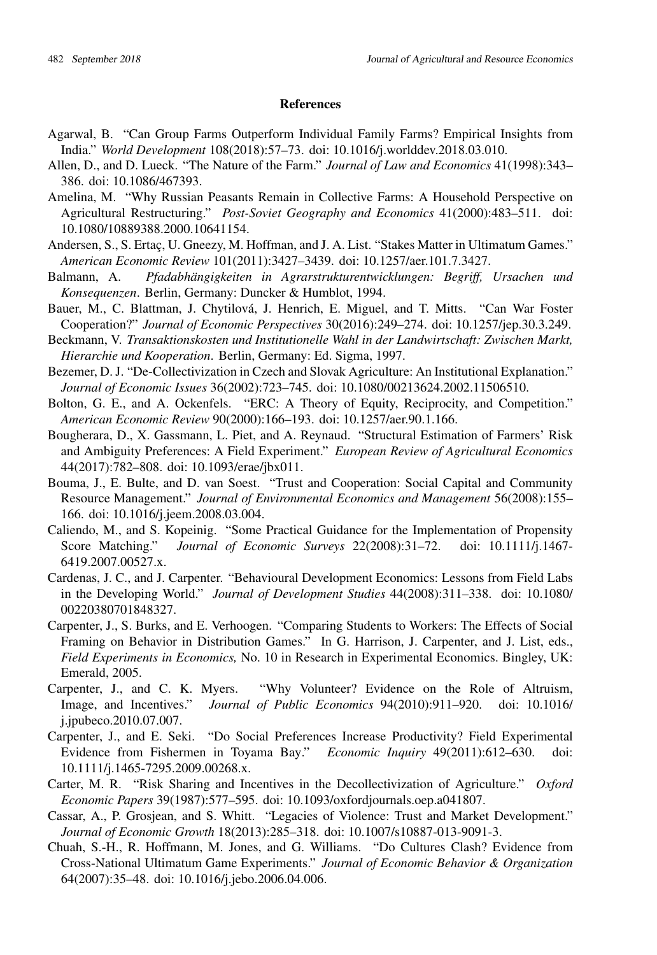#### **References**

- <span id="page-13-2"></span>Agarwal, B. "Can Group Farms Outperform Individual Family Farms? Empirical Insights from India." *World Development* 108(2018):57–73. [doi: 10.1016/j.worlddev.2018.03.010.](http://doi.org/10.1016/j.worlddev.2018.03.010)
- <span id="page-13-0"></span>Allen, D., and D. Lueck. "The Nature of the Farm." *Journal of Law and Economics* 41(1998):343– 386. [doi: 10.1086/467393.](http://doi.org/10.1086/467393)
- <span id="page-13-10"></span>Amelina, M. "Why Russian Peasants Remain in Collective Farms: A Household Perspective on Agricultural Restructuring." *Post-Soviet Geography and Economics* 41(2000):483–511. [doi:](http://doi.org/10.1080/10889388.2000.10641154) [10.1080/10889388.2000.10641154.](http://doi.org/10.1080/10889388.2000.10641154)
- <span id="page-13-16"></span>Andersen, S., S. Ertaç, U. Gneezy, M. Hoffman, and J. A. List. "Stakes Matter in Ultimatum Games." *American Economic Review* 101(2011):3427–3439. [doi: 10.1257/aer.101.7.3427.](http://doi.org/10.1257/aer.101.7.3427)
- <span id="page-13-3"></span>Balmann, A. *Pfadabhängigkeiten in Agrarstrukturentwicklungen: Begriff, Ursachen und Konsequenzen*. Berlin, Germany: Duncker & Humblot, 1994.
- <span id="page-13-13"></span>Bauer, M., C. Blattman, J. Chytilová, J. Henrich, E. Miguel, and T. Mitts. "Can War Foster Cooperation?" *Journal of Economic Perspectives* 30(2016):249–274. [doi: 10.1257/jep.30.3.249.](http://doi.org/10.1257/jep.30.3.249)
- <span id="page-13-1"></span>Beckmann, V. *Transaktionskosten und Institutionelle Wahl in der Landwirtschaft: Zwischen Markt, Hierarchie und Kooperation*. Berlin, Germany: Ed. Sigma, 1997.
- <span id="page-13-6"></span>Bezemer, D. J. "De-Collectivization in Czech and Slovak Agriculture: An Institutional Explanation." *Journal of Economic Issues* 36(2002):723–745. [doi: 10.1080/00213624.2002.11506510.](http://doi.org/10.1080/00213624.2002.11506510)
- <span id="page-13-4"></span>Bolton, G. E., and A. Ockenfels. "ERC: A Theory of Equity, Reciprocity, and Competition." *American Economic Review* 90(2000):166–193. [doi: 10.1257/aer.90.1.166.](http://doi.org/10.1257/aer.90.1.166)
- <span id="page-13-9"></span>Bougherara, D., X. Gassmann, L. Piet, and A. Reynaud. "Structural Estimation of Farmers' Risk and Ambiguity Preferences: A Field Experiment." *European Review of Agricultural Economics* 44(2017):782–808. [doi: 10.1093/erae/jbx011.](http://doi.org/10.1093/erae/jbx011)
- <span id="page-13-8"></span>Bouma, J., E. Bulte, and D. van Soest. "Trust and Cooperation: Social Capital and Community Resource Management." *Journal of Environmental Economics and Management* 56(2008):155– 166. [doi: 10.1016/j.jeem.2008.03.004.](http://doi.org/10.1016/j.jeem.2008.03.004)
- <span id="page-13-18"></span>Caliendo, M., and S. Kopeinig. "Some Practical Guidance for the Implementation of Propensity Score Matching." *Journal of Economic Surveys* 22(2008):31–72. [doi: 10.1111/j.1467-](http://doi.org/10.1111/j.1467-6419.2007.00527.x) [6419.2007.00527.x.](http://doi.org/10.1111/j.1467-6419.2007.00527.x)
- <span id="page-13-11"></span>Cardenas, J. C., and J. Carpenter. "Behavioural Development Economics: Lessons from Field Labs in the Developing World." *Journal of Development Studies* 44(2008):311–338. [doi: 10.1080/](http://doi.org/10.1080/ 00220380701848327) [00220380701848327.](http://doi.org/10.1080/ 00220380701848327)
- <span id="page-13-17"></span>Carpenter, J., S. Burks, and E. Verhoogen. "Comparing Students to Workers: The Effects of Social Framing on Behavior in Distribution Games." In G. Harrison, J. Carpenter, and J. List, eds., *Field Experiments in Economics,* No. 10 in Research in Experimental Economics. Bingley, UK: Emerald, 2005.
- <span id="page-13-15"></span>Carpenter, J., and C. K. Myers. "Why Volunteer? Evidence on the Role of Altruism, Image, and Incentives." *Journal of Public Economics* 94(2010):911–920. [doi: 10.1016/](http://doi.org/10.1016/ j.jpubeco.2010.07.007) [j.jpubeco.2010.07.007.](http://doi.org/10.1016/ j.jpubeco.2010.07.007)
- <span id="page-13-7"></span>Carpenter, J., and E. Seki. "Do Social Preferences Increase Productivity? Field Experimental Evidence from Fishermen in Toyama Bay." *Economic Inquiry* 49(2011):612–630. [doi:](http://doi.org/10.1111/j.1465-7295.2009.00268.x) [10.1111/j.1465-7295.2009.00268.x.](http://doi.org/10.1111/j.1465-7295.2009.00268.x)
- <span id="page-13-5"></span>Carter, M. R. "Risk Sharing and Incentives in the Decollectivization of Agriculture." *Oxford Economic Papers* 39(1987):577–595. [doi: 10.1093/oxfordjournals.oep.a041807.](http://doi.org/10.1093/oxfordjournals.oep.a041807)
- <span id="page-13-14"></span>Cassar, A., P. Grosjean, and S. Whitt. "Legacies of Violence: Trust and Market Development." *Journal of Economic Growth* 18(2013):285–318. [doi: 10.1007/s10887-013-9091-3.](http://doi.org/10.1007/s10887-013-9091-3)
- <span id="page-13-12"></span>Chuah, S.-H., R. Hoffmann, M. Jones, and G. Williams. "Do Cultures Clash? Evidence from Cross-National Ultimatum Game Experiments." *Journal of Economic Behavior & Organization* 64(2007):35–48. [doi: 10.1016/j.jebo.2006.04.006.](http://doi.org/10.1016/j.jebo.2006.04.006)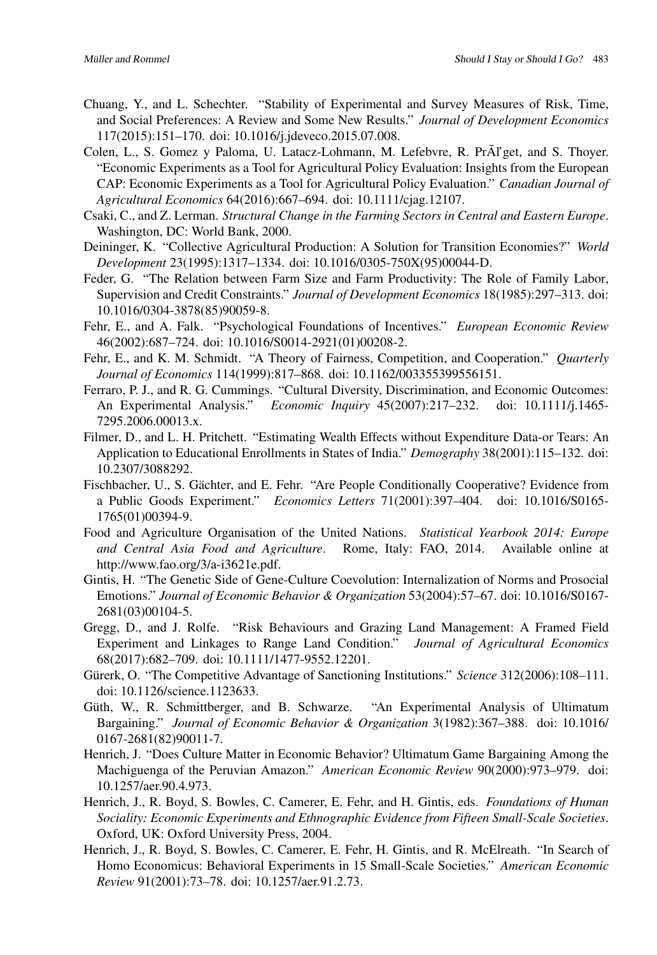- <span id="page-14-16"></span>Chuang, Y., and L. Schechter. "Stability of Experimental and Survey Measures of Risk, Time, and Social Preferences: A Review and Some New Results." *Journal of Development Economics* 117(2015):151–170. [doi: 10.1016/j.jdeveco.2015.07.008.](http://doi.org/10.1016/j.jdeveco.2015.07.008)
- <span id="page-14-5"></span>Colen, L., S. Gomez y Paloma, U. Latacz-Lohmann, M. Lefebvre, R. Pr $\widehat{A}$ l'get, and S. Thoyer. "Economic Experiments as a Tool for Agricultural Policy Evaluation: Insights from the European CAP: Economic Experiments as a Tool for Agricultural Policy Evaluation." *Canadian Journal of Agricultural Economics* 64(2016):667–694. [doi: 10.1111/cjag.12107.](http://doi.org/10.1111/cjag.12107)
- <span id="page-14-7"></span>Csaki, C., and Z. Lerman. *Structural Change in the Farming Sectors in Central and Eastern Europe*. Washington, DC: World Bank, 2000.
- <span id="page-14-6"></span>Deininger, K. "Collective Agricultural Production: A Solution for Transition Economies?" *World Development* 23(1995):1317–1334. [doi: 10.1016/0305-750X\(95\)00044-D.](http://doi.org/10.1016/0305-750X(95)00044-D)
- <span id="page-14-0"></span>Feder, G. "The Relation between Farm Size and Farm Productivity: The Role of Family Labor, Supervision and Credit Constraints." *Journal of Development Economics* 18(1985):297–313. [doi:](http://doi.org/10.1016/0304-3878(85)90059-8) [10.1016/0304-3878\(85\)90059-8.](http://doi.org/10.1016/0304-3878(85)90059-8)
- <span id="page-14-1"></span>Fehr, E., and A. Falk. "Psychological Foundations of Incentives." *European Economic Review* 46(2002):687–724. [doi: 10.1016/S0014-2921\(01\)00208-2.](http://doi.org/10.1016/S0014-2921(01)00208-2)
- <span id="page-14-2"></span>Fehr, E., and K. M. Schmidt. "A Theory of Fairness, Competition, and Cooperation." *Quarterly Journal of Economics* 114(1999):817–868. [doi: 10.1162/003355399556151.](http://doi.org/10.1162/003355399556151)
- <span id="page-14-15"></span>Ferraro, P. J., and R. G. Cummings. "Cultural Diversity, Discrimination, and Economic Outcomes: An Experimental Analysis." *Economic Inquiry* 45(2007):217–232. [doi: 10.1111/j.1465-](http://doi.org/10.1111/j.1465-7295.2006.00013.x) [7295.2006.00013.x.](http://doi.org/10.1111/j.1465-7295.2006.00013.x)
- <span id="page-14-14"></span>Filmer, D., and L. H. Pritchett. "Estimating Wealth Effects without Expenditure Data-or Tears: An Application to Educational Enrollments in States of India." *Demography* 38(2001):115–132. [doi:](http://doi.org/10.2307/3088292) [10.2307/3088292.](http://doi.org/10.2307/3088292)
- <span id="page-14-3"></span>Fischbacher, U., S. Gächter, and E. Fehr. "Are People Conditionally Cooperative? Evidence from a Public Goods Experiment." *Economics Letters* 71(2001):397–404. [doi: 10.1016/S0165-](http://doi.org/10.1016/S0165-1765(01)00394-9) [1765\(01\)00394-9.](http://doi.org/10.1016/S0165-1765(01)00394-9)
- <span id="page-14-9"></span>Food and Agriculture Organisation of the United Nations. *Statistical Yearbook 2014: Europe and Central Asia Food and Agriculture*. Rome, Italy: FAO, 2014. Available online at http://www.fao.org/3/a-i3621e.pdf.
- <span id="page-14-11"></span>Gintis, H. "The Genetic Side of Gene-Culture Coevolution: Internalization of Norms and Prosocial Emotions." *Journal of Economic Behavior & Organization* 53(2004):57–67. [doi: 10.1016/S0167-](http://doi.org/10.1016/S0167-2681(03)00104-5) [2681\(03\)00104-5.](http://doi.org/10.1016/S0167-2681(03)00104-5)
- <span id="page-14-8"></span>Gregg, D., and J. Rolfe. "Risk Behaviours and Grazing Land Management: A Framed Field Experiment and Linkages to Range Land Condition." *Journal of Agricultural Economics* 68(2017):682–709. [doi: 10.1111/1477-9552.12201.](http://doi.org/10.1111/1477-9552.12201)
- <span id="page-14-17"></span>Gürerk, O. "The Competitive Advantage of Sanctioning Institutions." *Science* 312(2006):108–111. [doi: 10.1126/science.1123633.](http://doi.org/10.1126/science.1123633)
- <span id="page-14-10"></span>Güth, W., R. Schmittberger, and B. Schwarze. "An Experimental Analysis of Ultimatum Bargaining." *Journal of Economic Behavior & Organization* 3(1982):367–388. [doi: 10.1016/](http://doi.org/10.1016/ 0167-2681(82)90011-7) [0167-2681\(82\)90011-7.](http://doi.org/10.1016/ 0167-2681(82)90011-7)
- <span id="page-14-12"></span>Henrich, J. "Does Culture Matter in Economic Behavior? Ultimatum Game Bargaining Among the Machiguenga of the Peruvian Amazon." *American Economic Review* 90(2000):973–979. [doi:](http://doi.org/10.1257/aer.90.4.973) [10.1257/aer.90.4.973.](http://doi.org/10.1257/aer.90.4.973)
- <span id="page-14-4"></span>Henrich, J., R. Boyd, S. Bowles, C. Camerer, E. Fehr, and H. Gintis, eds. *Foundations of Human Sociality: Economic Experiments and Ethnographic Evidence from Fifteen Small-Scale Societies*. Oxford, UK: Oxford University Press, 2004.
- <span id="page-14-13"></span>Henrich, J., R. Boyd, S. Bowles, C. Camerer, E. Fehr, H. Gintis, and R. McElreath. "In Search of Homo Economicus: Behavioral Experiments in 15 Small-Scale Societies." *American Economic Review* 91(2001):73–78. [doi: 10.1257/aer.91.2.73.](http://doi.org/10.1257/aer.91.2.73)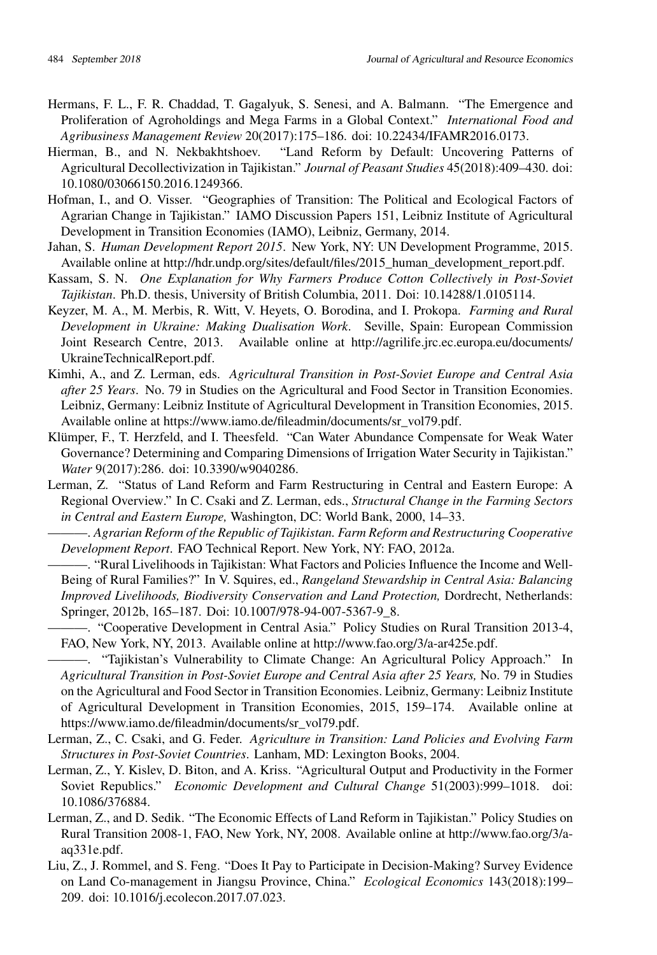- <span id="page-15-0"></span>Hermans, F. L., F. R. Chaddad, T. Gagalyuk, S. Senesi, and A. Balmann. "The Emergence and Proliferation of Agroholdings and Mega Farms in a Global Context." *International Food and Agribusiness Management Review* 20(2017):175–186. [doi: 10.22434/IFAMR2016.0173.](http://doi.org/10.22434/IFAMR2016.0173)
- <span id="page-15-2"></span>Hierman, B., and N. Nekbakhtshoev. "Land Reform by Default: Uncovering Patterns of Agricultural Decollectivization in Tajikistan." *Journal of Peasant Studies* 45(2018):409–430. [doi:](http://doi.org/10.1080/03066150.2016.1249366) [10.1080/03066150.2016.1249366.](http://doi.org/10.1080/03066150.2016.1249366)
- <span id="page-15-3"></span>Hofman, I., and O. Visser. "Geographies of Transition: The Political and Ecological Factors of Agrarian Change in Tajikistan." IAMO Discussion Papers 151, Leibniz Institute of Agricultural Development in Transition Economies (IAMO), Leibniz, Germany, 2014.
- <span id="page-15-5"></span>Jahan, S. *Human Development Report 2015*. New York, NY: UN Development Programme, 2015. Available online at http://hdr.undp.org/sites/default/files/2015\_human\_development\_report.pdf.
- <span id="page-15-11"></span>Kassam, S. N. *One Explanation for Why Farmers Produce Cotton Collectively in Post-Soviet Tajikistan*. Ph.D. thesis, University of British Columbia, 2011. Doi: 10.14288/1.0105114.
- <span id="page-15-16"></span>Keyzer, M. A., M. Merbis, R. Witt, V. Heyets, O. Borodina, and I. Prokopa. *Farming and Rural Development in Ukraine: Making Dualisation Work*. Seville, Spain: European Commission Joint Research Centre, 2013. Available online at http://agrilife.jrc.ec.europa.eu/documents/ UkraineTechnicalReport.pdf.
- <span id="page-15-15"></span>Kimhi, A., and Z. Lerman, eds. *Agricultural Transition in Post-Soviet Europe and Central Asia after 25 Years*. No. 79 in Studies on the Agricultural and Food Sector in Transition Economies. Leibniz, Germany: Leibniz Institute of Agricultural Development in Transition Economies, 2015. Available online at https://www.iamo.de/fileadmin/documents/sr\_vol79.pdf.
- <span id="page-15-13"></span>Klümper, F., T. Herzfeld, and I. Theesfeld. "Can Water Abundance Compensate for Weak Water Governance? Determining and Comparing Dimensions of Irrigation Water Security in Tajikistan." *Water* 9(2017):286. [doi: 10.3390/w9040286.](http://doi.org/10.3390/w9040286)
- <span id="page-15-14"></span>Lerman, Z. "Status of Land Reform and Farm Restructuring in Central and Eastern Europe: A Regional Overview." In C. Csaki and Z. Lerman, eds., *Structural Change in the Farming Sectors in Central and Eastern Europe,* Washington, DC: World Bank, 2000, 14–33.

<span id="page-15-8"></span>———. *Agrarian Reform of the Republic of Tajikistan. Farm Reform and Restructuring Cooperative Development Report*. FAO Technical Report. New York, NY: FAO, 2012a.

<span id="page-15-6"></span>———. "Rural Livelihoods in Tajikistan: What Factors and Policies Influence the Income and Well-Being of Rural Families?" In V. Squires, ed., *Rangeland Stewardship in Central Asia: Balancing Improved Livelihoods, Biodiversity Conservation and Land Protection,* Dordrecht, Netherlands: Springer, 2012b, 165–187. Doi: 10.1007/978-94-007-5367-9\_8.

<span id="page-15-9"></span>———. "Cooperative Development in Central Asia." Policy Studies on Rural Transition 2013-4, FAO, New York, NY, 2013. Available online at http://www.fao.org/3/a-ar425e.pdf.

<span id="page-15-10"></span>———. "Tajikistan's Vulnerability to Climate Change: An Agricultural Policy Approach." In *Agricultural Transition in Post-Soviet Europe and Central Asia after 25 Years,* No. 79 in Studies on the Agricultural and Food Sector in Transition Economies. Leibniz, Germany: Leibniz Institute of Agricultural Development in Transition Economies, 2015, 159–174. Available online at https://www.iamo.de/fileadmin/documents/sr\_vol79.pdf.

- <span id="page-15-4"></span>Lerman, Z., C. Csaki, and G. Feder. *Agriculture in Transition: Land Policies and Evolving Farm Structures in Post-Soviet Countries*. Lanham, MD: Lexington Books, 2004.
- <span id="page-15-1"></span>Lerman, Z., Y. Kislev, D. Biton, and A. Kriss. "Agricultural Output and Productivity in the Former Soviet Republics." *Economic Development and Cultural Change* 51(2003):999–1018. [doi:](http://doi.org/10.1086/376884) [10.1086/376884.](http://doi.org/10.1086/376884)
- <span id="page-15-7"></span>Lerman, Z., and D. Sedik. "The Economic Effects of Land Reform in Tajikistan." Policy Studies on Rural Transition 2008-1, FAO, New York, NY, 2008. Available online at http://www.fao.org/3/aaq331e.pdf.
- <span id="page-15-12"></span>Liu, Z., J. Rommel, and S. Feng. "Does It Pay to Participate in Decision-Making? Survey Evidence on Land Co-management in Jiangsu Province, China." *Ecological Economics* 143(2018):199– 209. [doi: 10.1016/j.ecolecon.2017.07.023.](http://doi.org/10.1016/j.ecolecon.2017.07.023)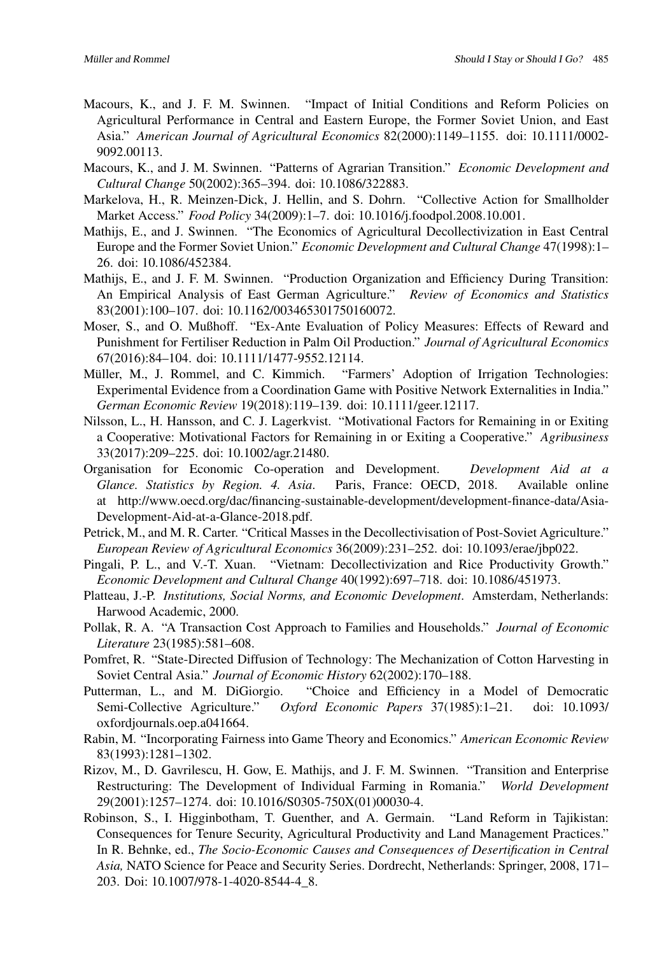- <span id="page-16-9"></span>Macours, K., and J. F. M. Swinnen. "Impact of Initial Conditions and Reform Policies on Agricultural Performance in Central and Eastern Europe, the Former Soviet Union, and East Asia." *American Journal of Agricultural Economics* 82(2000):1149–1155. [doi: 10.1111/0002-](http://doi.org/10.1111/0002-9092.00113) [9092.00113.](http://doi.org/10.1111/0002-9092.00113)
- <span id="page-16-3"></span>Macours, K., and J. M. Swinnen. "Patterns of Agrarian Transition." *Economic Development and Cultural Change* 50(2002):365–394. [doi: 10.1086/322883.](http://doi.org/10.1086/322883)
- <span id="page-16-14"></span>Markelova, H., R. Meinzen-Dick, J. Hellin, and S. Dohrn. "Collective Action for Smallholder Market Access." *Food Policy* 34(2009):1–7. [doi: 10.1016/j.foodpol.2008.10.001.](http://doi.org/10.1016/j.foodpol.2008.10.001)
- <span id="page-16-2"></span>Mathijs, E., and J. Swinnen. "The Economics of Agricultural Decollectivization in East Central Europe and the Former Soviet Union." *Economic Development and Cultural Change* 47(1998):1– 26. [doi: 10.1086/452384.](http://doi.org/10.1086/452384)
- <span id="page-16-5"></span>Mathijs, E., and J. F. M. Swinnen. "Production Organization and Efficiency During Transition: An Empirical Analysis of East German Agriculture." *Review of Economics and Statistics* 83(2001):100–107. [doi: 10.1162/003465301750160072.](http://doi.org/10.1162/003465301750160072)
- <span id="page-16-11"></span>Moser, S., and O. Mußhoff. "Ex-Ante Evaluation of Policy Measures: Effects of Reward and Punishment for Fertiliser Reduction in Palm Oil Production." *Journal of Agricultural Economics* 67(2016):84–104. [doi: 10.1111/1477-9552.12114.](http://doi.org/10.1111/1477-9552.12114)
- <span id="page-16-12"></span>Müller, M., J. Rommel, and C. Kimmich. "Farmers' Adoption of Irrigation Technologies: Experimental Evidence from a Coordination Game with Positive Network Externalities in India." *German Economic Review* 19(2018):119–139. [doi: 10.1111/geer.12117.](http://doi.org/10.1111/geer.12117)
- <span id="page-16-6"></span>Nilsson, L., H. Hansson, and C. J. Lagerkvist. "Motivational Factors for Remaining in or Exiting a Cooperative: Motivational Factors for Remaining in or Exiting a Cooperative." *Agribusiness* 33(2017):209–225. [doi: 10.1002/agr.21480.](http://doi.org/10.1002/agr.21480)
- <span id="page-16-17"></span>Organisation for Economic Co-operation and Development. *Development Aid at a Glance. Statistics by Region. 4. Asia*. Paris, France: OECD, 2018. Available online at http://www.oecd.org/dac/financing-sustainable-development/development-finance-data/Asia-Development-Aid-at-a-Glance-2018.pdf.
- <span id="page-16-10"></span>Petrick, M., and M. R. Carter. "Critical Masses in the Decollectivisation of Post-Soviet Agriculture." *European Review of Agricultural Economics* 36(2009):231–252. [doi: 10.1093/erae/jbp022.](http://doi.org/10.1093/erae/jbp022)
- <span id="page-16-1"></span>Pingali, P. L., and V.-T. Xuan. "Vietnam: Decollectivization and Rice Productivity Growth." *Economic Development and Cultural Change* 40(1992):697–718. [doi: 10.1086/451973.](http://doi.org/10.1086/451973)
- <span id="page-16-7"></span>Platteau, J.-P. *Institutions, Social Norms, and Economic Development*. Amsterdam, Netherlands: Harwood Academic, 2000.
- <span id="page-16-0"></span>Pollak, R. A. "A Transaction Cost Approach to Families and Households." *Journal of Economic Literature* 23(1985):581–608.
- <span id="page-16-16"></span>Pomfret, R. "State-Directed Diffusion of Technology: The Mechanization of Cotton Harvesting in Soviet Central Asia." *Journal of Economic History* 62(2002):170–188.
- <span id="page-16-15"></span>Putterman, L., and M. DiGiorgio. "Choice and Efficiency in a Model of Democratic Semi-Collective Agriculture." *Oxford Economic Papers* 37(1985):1–21. [doi: 10.1093/](http://doi.org/10.1093/ oxfordjournals.oep.a041664) [oxfordjournals.oep.a041664.](http://doi.org/10.1093/ oxfordjournals.oep.a041664)
- <span id="page-16-8"></span>Rabin, M. "Incorporating Fairness into Game Theory and Economics." *American Economic Review* 83(1993):1281–1302.
- <span id="page-16-4"></span>Rizov, M., D. Gavrilescu, H. Gow, E. Mathijs, and J. F. M. Swinnen. "Transition and Enterprise Restructuring: The Development of Individual Farming in Romania." *World Development* 29(2001):1257–1274. [doi: 10.1016/S0305-750X\(01\)00030-4.](http://doi.org/10.1016/S0305-750X(01)00030-4)
- <span id="page-16-13"></span>Robinson, S., I. Higginbotham, T. Guenther, and A. Germain. "Land Reform in Tajikistan: Consequences for Tenure Security, Agricultural Productivity and Land Management Practices." In R. Behnke, ed., *The Socio-Economic Causes and Consequences of Desertification in Central Asia,* NATO Science for Peace and Security Series. Dordrecht, Netherlands: Springer, 2008, 171– 203. Doi: 10.1007/978-1-4020-8544-4\_8.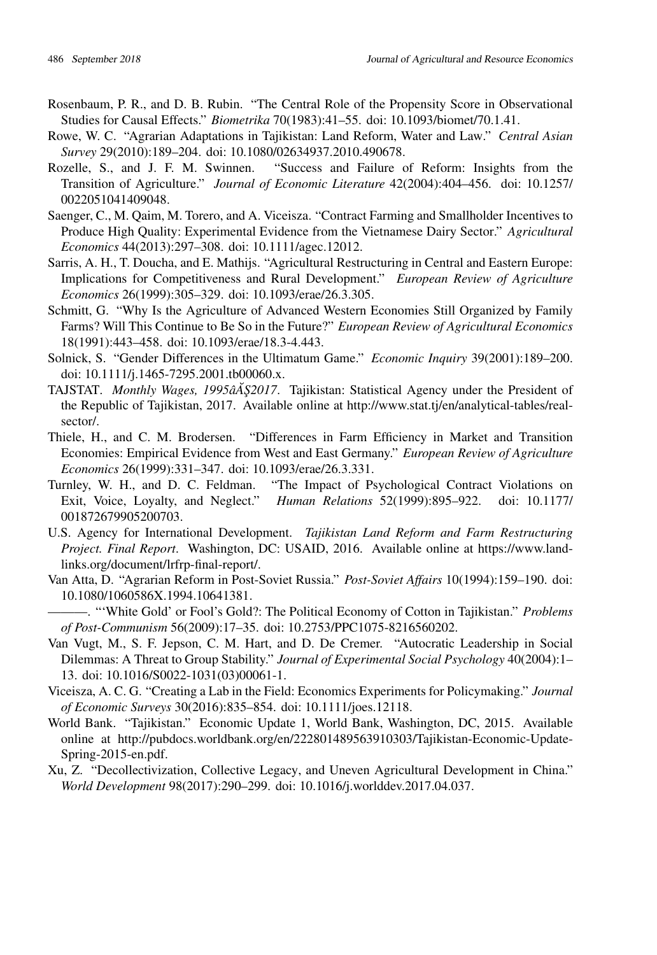- <span id="page-17-16"></span><span id="page-17-0"></span>Rosenbaum, P. R., and D. B. Rubin. "The Central Role of the Propensity Score in Observational Studies for Causal Effects." *Biometrika* 70(1983):41–55. [doi: 10.1093/biomet/70.1.41.](http://doi.org/10.1093/biomet/70.1.41)
- <span id="page-17-10"></span>Rowe, W. C. "Agrarian Adaptations in Tajikistan: Land Reform, Water and Law." *Central Asian Survey* 29(2010):189–204. [doi: 10.1080/02634937.2010.490678.](http://doi.org/10.1080/02634937.2010.490678)
- <span id="page-17-5"></span>Rozelle, S., and J. F. M. Swinnen. "Success and Failure of Reform: Insights from the Transition of Agriculture." *Journal of Economic Literature* 42(2004):404–456. [doi: 10.1257/](http://doi.org/10.1257/ 0022051041409048) [0022051041409048.](http://doi.org/10.1257/ 0022051041409048)
- <span id="page-17-7"></span>Saenger, C., M. Qaim, M. Torero, and A. Viceisza. "Contract Farming and Smallholder Incentives to Produce High Quality: Experimental Evidence from the Vietnamese Dairy Sector." *Agricultural Economics* 44(2013):297–308. [doi: 10.1111/agec.12012.](http://doi.org/10.1111/agec.12012)
- <span id="page-17-2"></span>Sarris, A. H., T. Doucha, and E. Mathijs. "Agricultural Restructuring in Central and Eastern Europe: Implications for Competitiveness and Rural Development." *European Review of Agriculture Economics* 26(1999):305–329. [doi: 10.1093/erae/26.3.305.](http://doi.org/10.1093/erae/26.3.305)
- <span id="page-17-1"></span>Schmitt, G. "Why Is the Agriculture of Advanced Western Economies Still Organized by Family Farms? Will This Continue to Be So in the Future?" *European Review of Agricultural Economics* 18(1991):443–458. [doi: 10.1093/erae/18.3-4.443.](http://doi.org/10.1093/erae/18.3-4.443)
- <span id="page-17-14"></span>Solnick, S. "Gender Differences in the Ultimatum Game." *Economic Inquiry* 39(2001):189–200. [doi: 10.1111/j.1465-7295.2001.tb00060.x.](http://doi.org/10.1111/j.1465-7295.2001.tb00060.x)
- <span id="page-17-15"></span>TAJSTAT. *Monthly Wages, 1995âA§2017*. Tajikistan: Statistical Agency under the President of the Republic of Tajikistan, 2017. Available online at http://www.stat.tj/en/analytical-tables/realsector/.
- <span id="page-17-3"></span>Thiele, H., and C. M. Brodersen. "Differences in Farm Efficiency in Market and Transition Economies: Empirical Evidence from West and East Germany." *European Review of Agriculture Economics* 26(1999):331–347. [doi: 10.1093/erae/26.3.331.](http://doi.org/10.1093/erae/26.3.331)
- <span id="page-17-12"></span>Turnley, W. H., and D. C. Feldman. "The Impact of Psychological Contract Violations on Exit, Voice, Loyalty, and Neglect." *Human Relations* 52(1999):895–922. [doi: 10.1177/](http://doi.org/10.1177/ 001872679905200703) [001872679905200703.](http://doi.org/10.1177/ 001872679905200703)
- <span id="page-17-17"></span>U.S. Agency for International Development. *Tajikistan Land Reform and Farm Restructuring Project. Final Report*. Washington, DC: USAID, 2016. Available online at https://www.landlinks.org/document/lrfrp-final-report/.
- <span id="page-17-11"></span>Van Atta, D. "Agrarian Reform in Post-Soviet Russia." *Post-Soviet Affairs* 10(1994):159–190. [doi:](http://doi.org/10.1080/1060586X.1994.10641381) [10.1080/1060586X.1994.10641381.](http://doi.org/10.1080/1060586X.1994.10641381)
- <span id="page-17-9"></span>———. "'White Gold' or Fool's Gold?: The Political Economy of Cotton in Tajikistan." *Problems of Post-Communism* 56(2009):17–35. [doi: 10.2753/PPC1075-8216560202.](http://doi.org/10.2753/PPC1075-8216560202)
- <span id="page-17-13"></span>Van Vugt, M., S. F. Jepson, C. M. Hart, and D. De Cremer. "Autocratic Leadership in Social Dilemmas: A Threat to Group Stability." *Journal of Experimental Social Psychology* 40(2004):1– 13. [doi: 10.1016/S0022-1031\(03\)00061-1.](http://doi.org/10.1016/S0022-1031(03)00061-1)
- <span id="page-17-6"></span>Viceisza, A. C. G. "Creating a Lab in the Field: Economics Experiments for Policymaking." *Journal of Economic Surveys* 30(2016):835–854. [doi: 10.1111/joes.12118.](http://doi.org/10.1111/joes.12118)
- <span id="page-17-8"></span>World Bank. "Tajikistan." Economic Update 1, World Bank, Washington, DC, 2015. Available online at http://pubdocs.worldbank.org/en/222801489563910303/Tajikistan-Economic-Update-Spring-2015-en.pdf.
- <span id="page-17-4"></span>Xu, Z. "Decollectivization, Collective Legacy, and Uneven Agricultural Development in China." *World Development* 98(2017):290–299. [doi: 10.1016/j.worlddev.2017.04.037.](http://doi.org/10.1016/j.worlddev.2017.04.037)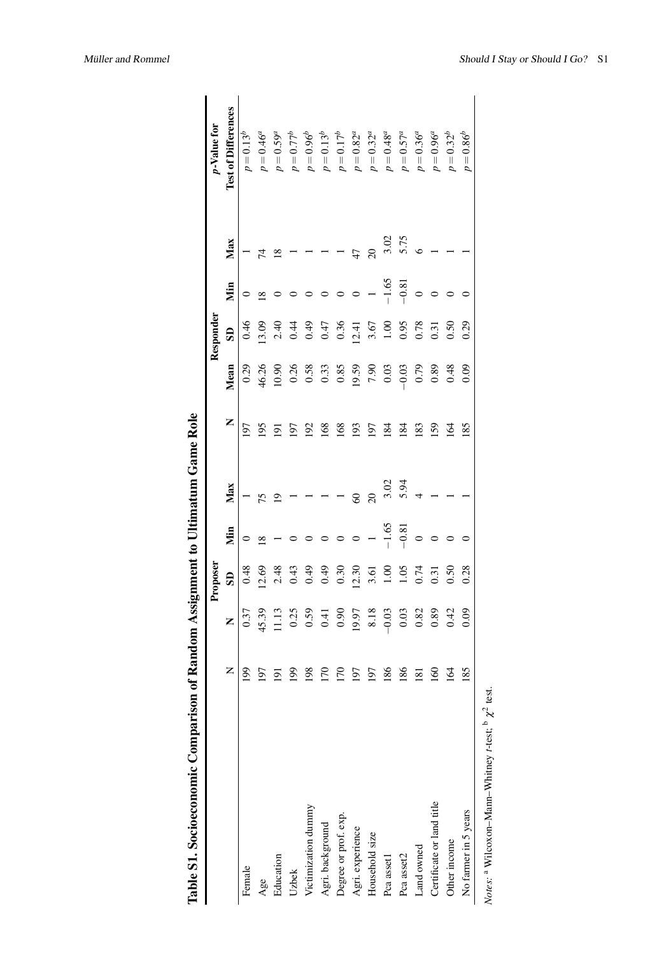| Table S1. Socioeconomic Comparison |                         |                      | Proposeı                |         |                 |                |         | Responder      |            |                 | <i>p</i> -Value for        |
|------------------------------------|-------------------------|----------------------|-------------------------|---------|-----------------|----------------|---------|----------------|------------|-----------------|----------------------------|
|                                    | Z                       | Z                    | $\overline{\mathbf{s}}$ | Жiп     | Max             | Z              | Mean    | SD             | Мin        | Max             | <b>Test of Differences</b> |
| Female                             | 199                     | 0.37                 | 0.48                    |         |                 | 197            | 0.29    | 0.46           |            |                 | $p = 0.13^b$               |
| Age                                | 197                     | 45.39                | 12.69                   | ≊       | 75              | 195            | 46.26   | 13.09          | $^{\circ}$ | 74              | $p = 0.46^a$               |
| Education                          | $\overline{5}$          | 11.13                | 2.48                    |         |                 | $\overline{9}$ | 10.90   |                |            | $\frac{8}{2}$   | $p = 0.59^a$               |
| Uzbek                              | $\overline{8}$          | 0.25                 | 0.43                    |         |                 | 197            | 0.26    | $2.40$<br>0.44 |            |                 | $p=0.77^b$                 |
| Victimization dummy                | 198                     | $0.59$<br>0.41       | 64.0                    |         |                 | 192            | 0.58    | 0.49           |            |                 | $p=0.96^b$                 |
| Agri. background                   | 50                      |                      | 64.0                    |         |                 | 168            | 0.33    | 0.47           |            |                 | $p = 0.13^b$               |
| Degree or prof. exp.               | 50                      | 0.90                 | 0.30                    |         |                 | 168            | 0.85    | 0.36           |            |                 | $p = 0.17^b$               |
| Agri. experience                   | 197                     | 19.97                | 12.30                   |         |                 | 193            | 19.59   | 12.41          |            | 47              | $p = 0.82^a$               |
| Household size                     | 197                     | $\frac{8.18}{-0.03}$ | 3.61                    |         | $\overline{20}$ | 197            | 7.90    | 3.67           |            | $\overline{20}$ | $p = 0.32^a$               |
| Pca asset1                         | 186                     |                      | $\frac{8}{100}$         | $-1.65$ | 3.02            | 184            | 0.03    | 1.00           | $-1.65$    | 3.02            | $p=0.48^a$                 |
| Pca asset2                         | 186                     | 0.03                 | 1.05                    | $-0.81$ | 5.94            | 184            | $-0.03$ | 0.95           | $-0.81$    | 5.75            | $p = 0.57^a$               |
| Land owned                         | $\overline{\mathbf{8}}$ | 0.82                 | 0.74                    |         |                 | 183            | 0.79    | 0.78           |            |                 | $p = 0.36^a$               |
| Certificate or land title          | $\overline{60}$         | 0.89                 | 0.31                    |         |                 | 159            | 0.89    | 0.31           |            |                 | $p=0.96^a$                 |
| Other income                       | ङ                       | 0.42                 | 0.50                    |         |                 | 164            | 0.48    | 0.50           |            |                 | $p = 0.32^b$               |
| No farmer in 5 years               | 85                      | 0.09                 | 0.28                    |         |                 | 185            | 0.09    | 0.29           |            |                 | $p = 0.86^{b}$             |
|                                    |                         |                      |                         |         |                 |                |         |                |            |                 |                            |

Table S1. Socioeconomic Comparison of Random Assignment to Ultimatum Game Role

*Notes:* a Wilcoxon–Mann–Whitney *t*-test;  $\int \chi^2$  test.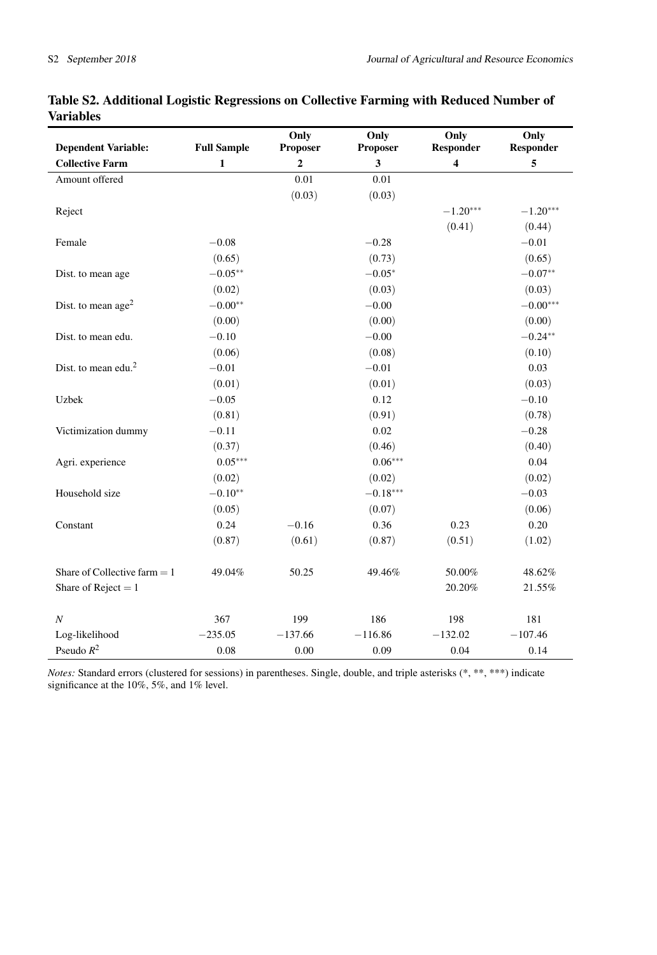| <b>Dependent Variable:</b>     | <b>Full Sample</b> | Only<br>Proposer | Only<br>Proposer | Only<br>Responder       | Only<br><b>Responder</b> |
|--------------------------------|--------------------|------------------|------------------|-------------------------|--------------------------|
| <b>Collective Farm</b>         | $\mathbf{1}$       | $\mathbf{2}$     | 3                | $\overline{\mathbf{4}}$ | 5                        |
| Amount offered                 |                    | 0.01             | 0.01             |                         |                          |
|                                |                    | (0.03)           | (0.03)           |                         |                          |
| Reject                         |                    |                  |                  | $-1.20***$              | $-1.20***$               |
|                                |                    |                  |                  | (0.41)                  | (0.44)                   |
| Female                         | $-0.08$            |                  | $-0.28$          |                         | $-0.01$                  |
|                                | (0.65)             |                  | (0.73)           |                         | (0.65)                   |
| Dist. to mean age              | $-0.05**$          |                  | $-0.05*$         |                         | $-0.07**$                |
|                                | (0.02)             |                  | (0.03)           |                         | (0.03)                   |
| Dist. to mean age <sup>2</sup> | $-0.00**$          |                  | $-0.00$          |                         | $-0.00***$               |
|                                | (0.00)             |                  | (0.00)           |                         | (0.00)                   |
| Dist. to mean edu.             | $-0.10$            |                  | $-0.00$          |                         | $-0.24**$                |
|                                | (0.06)             |                  | (0.08)           |                         | (0.10)                   |
| Dist. to mean edu. $2$         | $-0.01$            |                  | $-0.01$          |                         | 0.03                     |
|                                | (0.01)             |                  | (0.01)           |                         | (0.03)                   |
| Uzbek                          | $-0.05$            |                  | 0.12             |                         | $-0.10$                  |
|                                | (0.81)             |                  | (0.91)           |                         | (0.78)                   |
| Victimization dummy            | $-0.11$            |                  | 0.02             |                         | $-0.28$                  |
|                                | (0.37)             |                  | (0.46)           |                         | (0.40)                   |
| Agri. experience               | $0.05***$          |                  | $0.06***$        |                         | 0.04                     |
|                                | (0.02)             |                  | (0.02)           |                         | (0.02)                   |
| Household size                 | $-0.10**$          |                  | $-0.18***$       |                         | $-0.03$                  |
|                                | (0.05)             |                  | (0.07)           |                         | (0.06)                   |
| Constant                       | 0.24               | $-0.16$          | 0.36             | 0.23                    | 0.20                     |
|                                | (0.87)             | (0.61)           | (0.87)           | (0.51)                  | (1.02)                   |
| Share of Collective farm $= 1$ | 49.04%             | 50.25            | 49.46%           | 50.00%                  | 48.62%                   |
|                                |                    |                  |                  |                         |                          |
| Share of Reject = $1$          |                    |                  |                  | 20.20%                  | 21.55%                   |
| $\boldsymbol{N}$               | 367                | 199              | 186              | 198                     | 181                      |
| Log-likelihood                 | $-235.05$          | $-137.66$        | $-116.86$        | $-132.02$               | $-107.46$                |
| Pseudo $R^2$                   | 0.08               | 0.00             | 0.09             | 0.04                    | 0.14                     |

# Table S2. Additional Logistic Regressions on Collective Farming with Reduced Number of Variables

*Notes:* Standard errors (clustered for sessions) in parentheses. Single, double, and triple asterisks (\*, \*\*, \*\*\*) indicate significance at the 10%, 5%, and 1% level.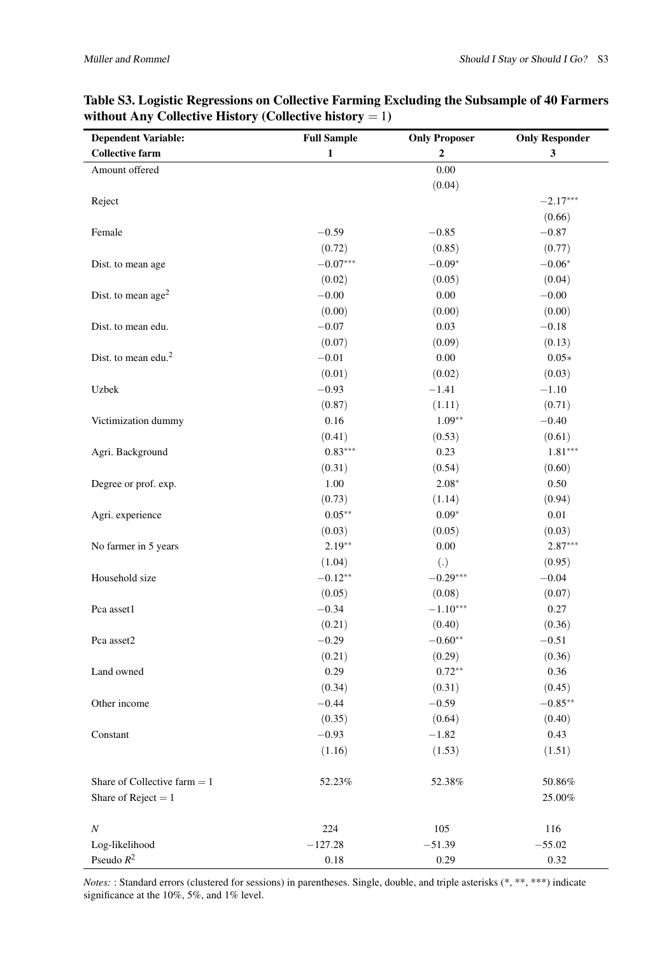| <b>Dependent Variable:</b>      | <b>Full Sample</b> | <b>Only Proposer</b> | <b>Only Responder</b>   |
|---------------------------------|--------------------|----------------------|-------------------------|
| <b>Collective farm</b>          | $\mathbf{1}$       | $\mathbf{2}$         | $\overline{\mathbf{3}}$ |
| Amount offered                  |                    | $0.00\,$             |                         |
|                                 |                    | (0.04)               |                         |
| Reject                          |                    |                      | $-2.17***$              |
|                                 |                    |                      | (0.66)                  |
| Female                          | $-0.59$            | $-0.85$              | $-0.87$                 |
|                                 | (0.72)             | (0.85)               | (0.77)                  |
| Dist. to mean age               | $-0.07***$         | $-0.09*$             | $-0.06*$                |
|                                 | (0.02)             | (0.05)               | (0.04)                  |
| Dist. to mean $age2$            | $-0.00$            | 0.00                 | $-0.00$                 |
|                                 | (0.00)             | (0.00)               | (0.00)                  |
| Dist. to mean edu.              | $-0.07$            | 0.03                 | $-0.18$                 |
|                                 | (0.07)             | (0.09)               | (0.13)                  |
| Dist. to mean edu. <sup>2</sup> | $-0.01$            | 0.00                 | $0.05*$                 |
|                                 | (0.01)             | (0.02)               | (0.03)                  |
| Uzbek                           | $-0.93$            | $-1.41$              | $-1.10$                 |
|                                 | (0.87)             | (1.11)               | (0.71)                  |
| Victimization dummy             | 0.16               | $1.09**$             | $-0.40$                 |
|                                 | (0.41)             | (0.53)               | (0.61)                  |
| Agri. Background                | $0.83***$          | 0.23                 | $1.81***$               |
|                                 | (0.31)             | (0.54)               | (0.60)                  |
| Degree or prof. exp.            | 1.00               | $2.08*$              | 0.50                    |
|                                 | (0.73)             | (1.14)               | (0.94)                  |
| Agri. experience                | $0.05**$           | $0.09*$              | 0.01                    |
|                                 | (0.03)             | (0.05)               | (0.03)                  |
| No farmer in 5 years            | $2.19**$           | $0.00\,$             | $2.87***$               |
|                                 | (1.04)             | (.)                  | (0.95)                  |
| Household size                  | $-0.12**$          | $-0.29***$           | $-0.04$                 |
|                                 | (0.05)             | (0.08)               | (0.07)                  |
| Pca asset1                      | $-0.34$            | $-1.10***$           | 0.27                    |
|                                 | (0.21)             | (0.40)               | (0.36)                  |
| Pca asset2                      | $-0.29$            | $-0.60**$            | $-0.51$                 |
|                                 | (0.21)             | (0.29)               | (0.36)                  |
| Land owned                      | 0.29               | $0.72**$             | 0.36                    |
|                                 | (0.34)             | (0.31)               | (0.45)                  |
| Other income                    | $-0.44$            | $-0.59$              | $-0.85***$              |
|                                 | (0.35)             | (0.64)               | (0.40)                  |
| Constant                        | $-0.93$            | $-1.82$              | 0.43                    |
|                                 | (1.16)             | (1.53)               | (1.51)                  |
| Share of Collective farm $= 1$  | 52.23%             | 52.38%               | $50.86\%$               |
| Share of Reject = $1$           |                    |                      | $25.00\%$               |
| N                               | 224                | 105                  | 116                     |
| Log-likelihood                  | $-127.28$          | $-51.39$             | $-55.02$                |
| Pseudo $\mathbb{R}^2$           | $0.18\,$           | 0.29                 | 0.32                    |

# Table S3. Logistic Regressions on Collective Farming Excluding the Subsample of 40 Farmers without Any Collective History (Collective history  $= 1$ )

*Notes:* : Standard errors (clustered for sessions) in parentheses. Single, double, and triple asterisks (\*, \*\*, \*\*\*) indicate significance at the 10%, 5%, and 1% level.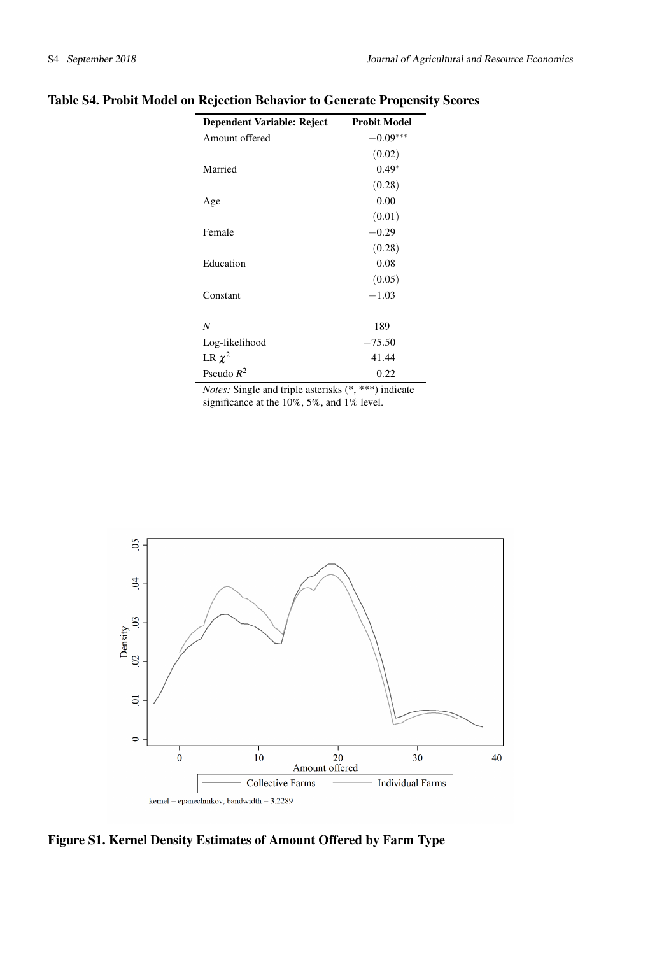| <b>Dependent Variable: Reject</b> | <b>Probit Model</b> |
|-----------------------------------|---------------------|
| Amount offered                    | $-0.09***$          |
|                                   | (0.02)              |
| Married                           | $0.49*$             |
|                                   | (0.28)              |
| Age                               | 0.00                |
|                                   | (0.01)              |
| Female                            | $-0.29$             |
|                                   | (0.28)              |
| Education                         | 0.08                |
|                                   | (0.05)              |
| Constant                          | $-1.03$             |
|                                   |                     |
| N                                 | 189                 |
| Log-likelihood                    | $-75.50$            |
| LR $\chi^2$                       | 41.44               |
| Pseudo $R^2$                      | 0.22                |

# Table S4. Probit Model on Rejection Behavior to Generate Propensity Scores

 $\overline{a}$ 

*Notes:* Single and triple asterisks (\*, \*\*\*) indicate significance at the 10%, 5%, and 1% level.



Figure S1. Kernel Density Estimates of Amount Offered by Farm Type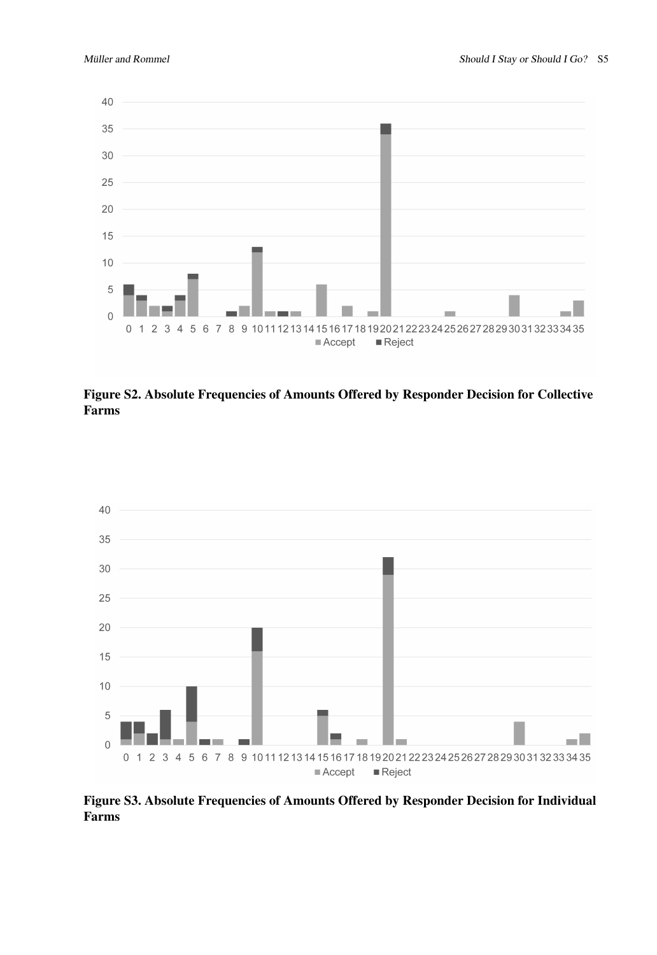

Figure S2. Absolute Frequencies of Amounts Offered by Responder Decision for Collective Farms



Figure S3. Absolute Frequencies of Amounts Offered by Responder Decision for Individual Farms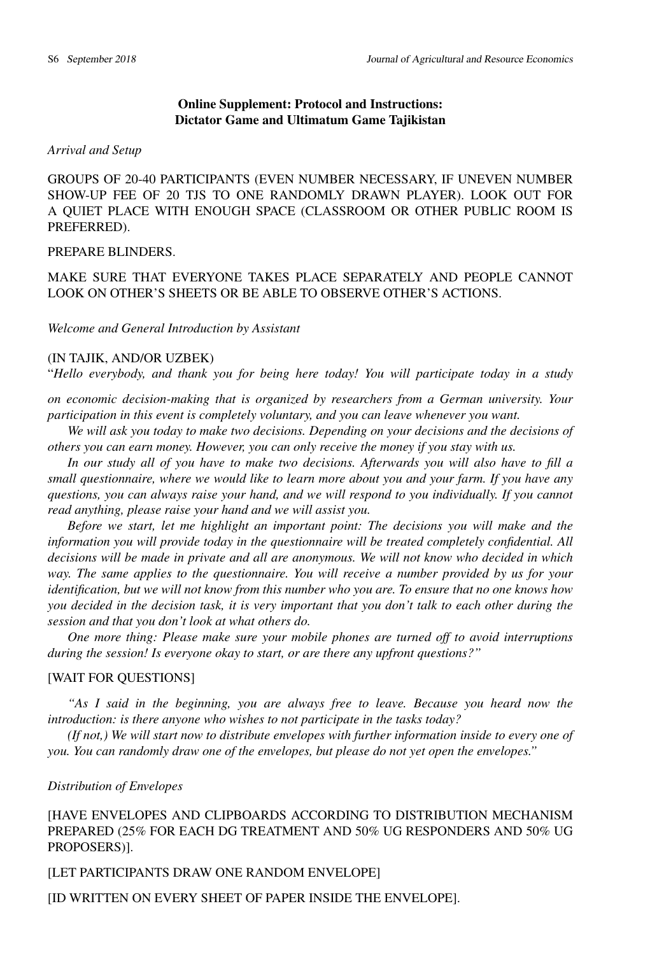# Online Supplement: Protocol and Instructions: Dictator Game and Ultimatum Game Tajikistan

#### *Arrival and Setup*

GROUPS OF 20-40 PARTICIPANTS (EVEN NUMBER NECESSARY, IF UNEVEN NUMBER SHOW-UP FEE OF 20 TJS TO ONE RANDOMLY DRAWN PLAYER). LOOK OUT FOR A QUIET PLACE WITH ENOUGH SPACE (CLASSROOM OR OTHER PUBLIC ROOM IS PREFERRED).

## PREPARE BLINDERS.

MAKE SURE THAT EVERYONE TAKES PLACE SEPARATELY AND PEOPLE CANNOT LOOK ON OTHER'S SHEETS OR BE ABLE TO OBSERVE OTHER'S ACTIONS.

*Welcome and General Introduction by Assistant*

## (IN TAJIK, AND/OR UZBEK)

"*Hello everybody, and thank you for being here today! You will participate today in a study*

*on economic decision-making that is organized by researchers from a German university. Your participation in this event is completely voluntary, and you can leave whenever you want.*

*We will ask you today to make two decisions. Depending on your decisions and the decisions of others you can earn money. However, you can only receive the money if you stay with us.*

*In our study all of you have to make two decisions. Afterwards you will also have to fill a small questionnaire, where we would like to learn more about you and your farm. If you have any questions, you can always raise your hand, and we will respond to you individually. If you cannot read anything, please raise your hand and we will assist you.*

*Before we start, let me highlight an important point: The decisions you will make and the information you will provide today in the questionnaire will be treated completely confidential. All decisions will be made in private and all are anonymous. We will not know who decided in which way. The same applies to the questionnaire. You will receive a number provided by us for your identification, but we will not know from this number who you are. To ensure that no one knows how you decided in the decision task, it is very important that you don't talk to each other during the session and that you don't look at what others do.*

*One more thing: Please make sure your mobile phones are turned off to avoid interruptions during the session! Is everyone okay to start, or are there any upfront questions?"*

# [WAIT FOR QUESTIONS]

*"As I said in the beginning, you are always free to leave. Because you heard now the introduction: is there anyone who wishes to not participate in the tasks today?*

*(If not,) We will start now to distribute envelopes with further information inside to every one of you. You can randomly draw one of the envelopes, but please do not yet open the envelopes."*

#### *Distribution of Envelopes*

[HAVE ENVELOPES AND CLIPBOARDS ACCORDING TO DISTRIBUTION MECHANISM PREPARED (25% FOR EACH DG TREATMENT AND 50% UG RESPONDERS AND 50% UG PROPOSERS)].

[LET PARTICIPANTS DRAW ONE RANDOM ENVELOPE]

[ID WRITTEN ON EVERY SHEET OF PAPER INSIDE THE ENVELOPE].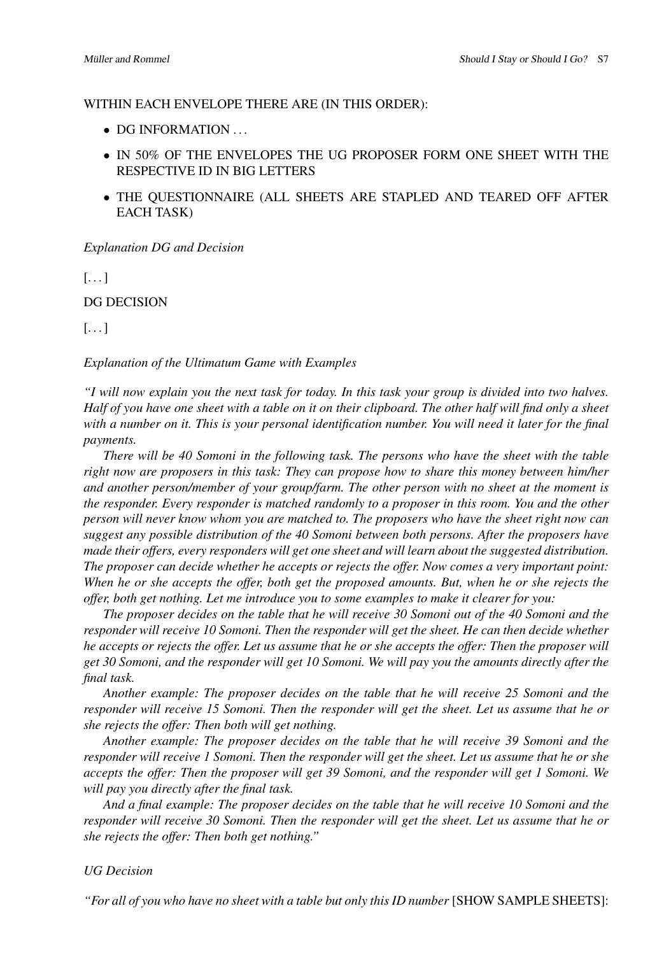## WITHIN EACH ENVELOPE THERE ARE (IN THIS ORDER):

- DG INFORMATION ...
- IN 50% OF THE ENVELOPES THE UG PROPOSER FORM ONE SHEET WITH THE RESPECTIVE ID IN BIG LETTERS
- THE QUESTIONNAIRE (ALL SHEETS ARE STAPLED AND TEARED OFF AFTER EACH TASK)

## *Explanation DG and Decision*

 $[ \ldots ]$ 

DG DECISION

# $\left[\ldots\right]$

## *Explanation of the Ultimatum Game with Examples*

*"I will now explain you the next task for today. In this task your group is divided into two halves. Half of you have one sheet with a table on it on their clipboard. The other half will find only a sheet with a number on it. This is your personal identification number. You will need it later for the final payments.*

*There will be 40 Somoni in the following task. The persons who have the sheet with the table right now are proposers in this task: They can propose how to share this money between him/her and another person/member of your group/farm. The other person with no sheet at the moment is the responder. Every responder is matched randomly to a proposer in this room. You and the other person will never know whom you are matched to. The proposers who have the sheet right now can suggest any possible distribution of the 40 Somoni between both persons. After the proposers have made their offers, every responders will get one sheet and will learn about the suggested distribution. The proposer can decide whether he accepts or rejects the offer. Now comes a very important point: When he or she accepts the offer, both get the proposed amounts. But, when he or she rejects the offer, both get nothing. Let me introduce you to some examples to make it clearer for you:*

*The proposer decides on the table that he will receive 30 Somoni out of the 40 Somoni and the responder will receive 10 Somoni. Then the responder will get the sheet. He can then decide whether he accepts or rejects the offer. Let us assume that he or she accepts the offer: Then the proposer will get 30 Somoni, and the responder will get 10 Somoni. We will pay you the amounts directly after the final task.*

*Another example: The proposer decides on the table that he will receive 25 Somoni and the responder will receive 15 Somoni. Then the responder will get the sheet. Let us assume that he or she rejects the offer: Then both will get nothing.*

*Another example: The proposer decides on the table that he will receive 39 Somoni and the responder will receive 1 Somoni. Then the responder will get the sheet. Let us assume that he or she accepts the offer: Then the proposer will get 39 Somoni, and the responder will get 1 Somoni. We will pay you directly after the final task.*

*And a final example: The proposer decides on the table that he will receive 10 Somoni and the responder will receive 30 Somoni. Then the responder will get the sheet. Let us assume that he or she rejects the offer: Then both get nothing."*

## *UG Decision*

*"For all of you who have no sheet with a table but only this ID number* [SHOW SAMPLE SHEETS]: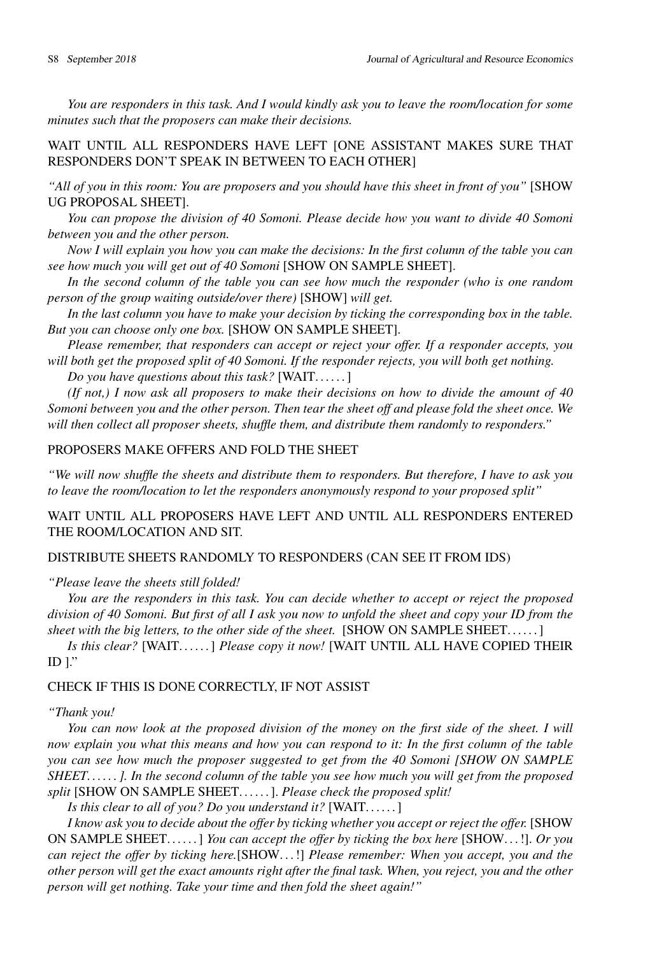*You are responders in this task. And I would kindly ask you to leave the room/location for some minutes such that the proposers can make their decisions.*

WAIT UNTIL ALL RESPONDERS HAVE LEFT [ONE ASSISTANT MAKES SURE THAT RESPONDERS DON'T SPEAK IN BETWEEN TO EACH OTHER]

*"All of you in this room: You are proposers and you should have this sheet in front of you"* [SHOW UG PROPOSAL SHEET].

*You can propose the division of 40 Somoni. Please decide how you want to divide 40 Somoni between you and the other person.*

*Now I will explain you how you can make the decisions: In the first column of the table you can see how much you will get out of 40 Somoni* [SHOW ON SAMPLE SHEET].

*In the second column of the table you can see how much the responder (who is one random person of the group waiting outside/over there)* [SHOW] *will get.*

*In the last column you have to make your decision by ticking the corresponding box in the table. But you can choose only one box.* [SHOW ON SAMPLE SHEET].

*Please remember, that responders can accept or reject your offer. If a responder accepts, you will both get the proposed split of 40 Somoni. If the responder rejects, you will both get nothing.*

*Do you have questions about this task?* [WAIT. . . . . . ]

*(If not,) I now ask all proposers to make their decisions on how to divide the amount of 40 Somoni between you and the other person. Then tear the sheet off and please fold the sheet once. We will then collect all proposer sheets, shuffle them, and distribute them randomly to responders."*

# PROPOSERS MAKE OFFERS AND FOLD THE SHEET

*"We will now shuffle the sheets and distribute them to responders. But therefore, I have to ask you to leave the room/location to let the responders anonymously respond to your proposed split"*

WAIT UNTIL ALL PROPOSERS HAVE LEFT AND UNTIL ALL RESPONDERS ENTERED THE ROOM/LOCATION AND SIT.

# DISTRIBUTE SHEETS RANDOMLY TO RESPONDERS (CAN SEE IT FROM IDS)

*"Please leave the sheets still folded!*

*You are the responders in this task. You can decide whether to accept or reject the proposed division of 40 Somoni. But first of all I ask you now to unfold the sheet and copy your ID from the sheet with the big letters, to the other side of the sheet.* [SHOW ON SAMPLE SHEET. . . . . . ]

*Is this clear?* [WAIT. . . . . . ] *Please copy it now!* [WAIT UNTIL ALL HAVE COPIED THEIR ID  $]$ ."

## CHECK IF THIS IS DONE CORRECTLY, IF NOT ASSIST

#### *"Thank you!*

*You can now look at the proposed division of the money on the first side of the sheet. I will now explain you what this means and how you can respond to it: In the first column of the table you can see how much the proposer suggested to get from the 40 Somoni [SHOW ON SAMPLE SHEET. . . . . . ]. In the second column of the table you see how much you will get from the proposed split* [SHOW ON SAMPLE SHEET. . . . . . ]. *Please check the proposed split!*

*Is this clear to all of you? Do you understand it?* [WAIT. . . . . . ]

*I know ask you to decide about the offer by ticking whether you accept or reject the offer.* [SHOW ON SAMPLE SHEET. . . . . . ] *You can accept the offer by ticking the box here* [SHOW. . . !]. *Or you can reject the offer by ticking here.*[SHOW. . . !] *Please remember: When you accept, you and the other person will get the exact amounts right after the final task. When, you reject, you and the other person will get nothing. Take your time and then fold the sheet again!"*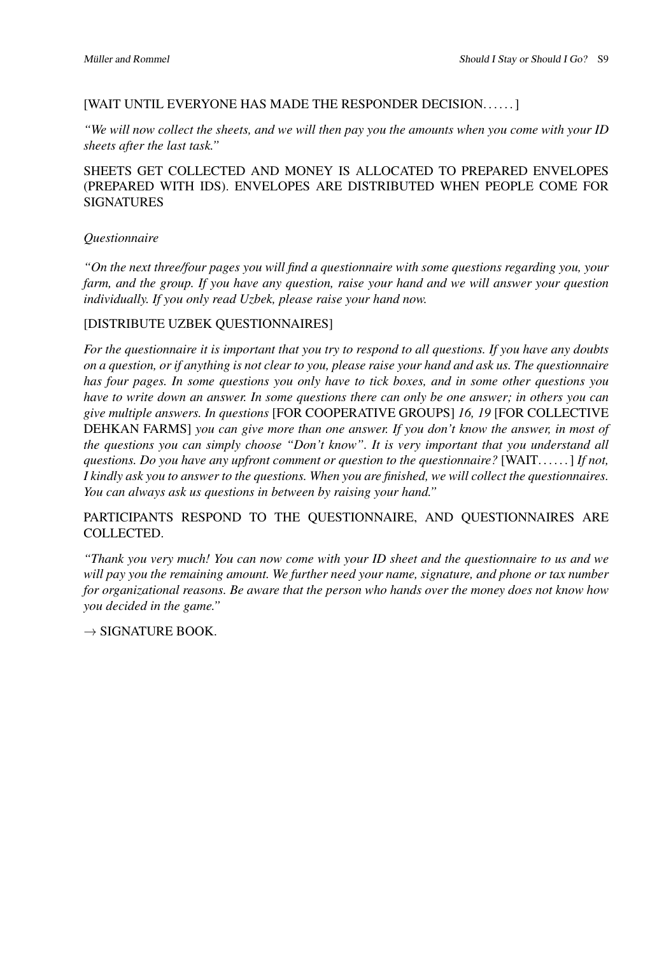## [WAIT UNTIL EVERYONE HAS MADE THE RESPONDER DECISION. . . . . . ]

*"We will now collect the sheets, and we will then pay you the amounts when you come with your ID sheets after the last task."*

# SHEETS GET COLLECTED AND MONEY IS ALLOCATED TO PREPARED ENVELOPES (PREPARED WITH IDS). ENVELOPES ARE DISTRIBUTED WHEN PEOPLE COME FOR SIGNATURES

# *Questionnaire*

*"On the next three/four pages you will find a questionnaire with some questions regarding you, your farm, and the group. If you have any question, raise your hand and we will answer your question individually. If you only read Uzbek, please raise your hand now.*

## [DISTRIBUTE UZBEK QUESTIONNAIRES]

*For the questionnaire it is important that you try to respond to all questions. If you have any doubts on a question, or if anything is not clear to you, please raise your hand and ask us. The questionnaire has four pages. In some questions you only have to tick boxes, and in some other questions you have to write down an answer. In some questions there can only be one answer; in others you can give multiple answers. In questions* [FOR COOPERATIVE GROUPS] *16, 19* [FOR COLLECTIVE DEHKAN FARMS] *you can give more than one answer. If you don't know the answer, in most of the questions you can simply choose "Don't know". It is very important that you understand all questions. Do you have any upfront comment or question to the questionnaire?* [WAIT. . . . . . ] *If not, I kindly ask you to answer to the questions. When you are finished, we will collect the questionnaires. You can always ask us questions in between by raising your hand."*

PARTICIPANTS RESPOND TO THE QUESTIONNAIRE, AND QUESTIONNAIRES ARE COLLECTED.

*"Thank you very much! You can now come with your ID sheet and the questionnaire to us and we will pay you the remaining amount. We further need your name, signature, and phone or tax number for organizational reasons. Be aware that the person who hands over the money does not know how you decided in the game."*

 $\rightarrow$  SIGNATURE BOOK.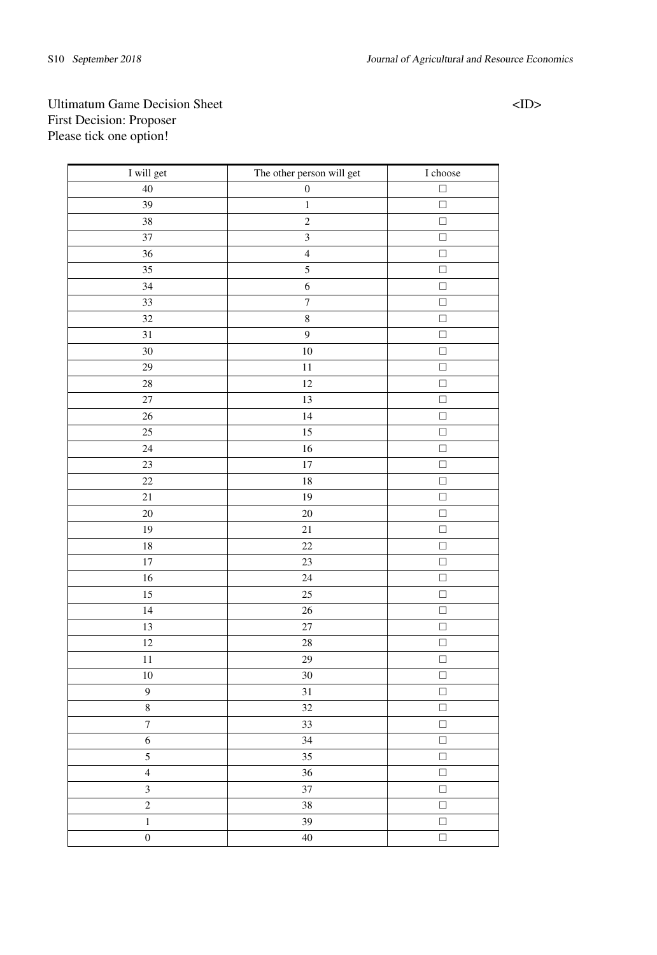# Ultimatum Game Decision Sheet <ID> First Decision: Proposer Please tick one option!

| I will get              | The other person will get | I choose             |
|-------------------------|---------------------------|----------------------|
| 40                      | $\boldsymbol{0}$          | $\Box$               |
| 39                      | $\,1$                     | $\Box$               |
| $\overline{38}$         | $\overline{2}$            | ō                    |
| 37                      | $\overline{\mathbf{3}}$   | $\Box$               |
| 36                      | $\overline{4}$            | $\Box$               |
| 35                      | 5                         | $\Box$               |
| 34                      | $\overline{6}$            | $\Box$               |
| $\overline{33}$         | $\overline{7}$            | $\Box$               |
| $\overline{32}$         | $\sqrt{8}$                | $\Box$               |
| 31                      | 9                         | $\Box$               |
| 30                      | 10                        | $\overline{\square}$ |
| 29                      | 11                        | $\Box$               |
| 28                      | 12                        | $\Box$               |
| 27                      | 13                        | $\Box$               |
| 26                      | 14                        | $\Box$               |
| 25                      | 15                        | $\Box$               |
| 24                      | 16                        | $\Box$               |
| 23                      | 17                        | $\Box$               |
| 22                      | 18                        | $\Box$               |
| 21                      | 19                        | $\Box$               |
| 20                      | 20                        | $\Box$               |
| 19                      | 21                        | $\Box$               |
| 18                      | 22                        | $\Box$               |
| 17                      | 23                        | $\Box$               |
| 16                      | 24                        | $\Box$               |
| 15                      | $\overline{25}$           | $\overline{\square}$ |
| 14                      | 26                        | $\Box$               |
| 13                      | 27                        | $\Box$               |
| 12                      | 28                        | $\Box$               |
| 11                      | 29                        | $\Box$               |
| 10                      | 30                        | $\Box$               |
| 9                       | 31                        | $\Box$               |
| $\,$ 8 $\,$             | 32                        | $\Box$               |
| $\boldsymbol{7}$        | 33                        | $\Box$               |
| 6                       | 34                        | $\Box$               |
| 5                       | 35                        | $\Box$               |
| $\overline{4}$          | 36                        | $\Box$               |
| $\overline{\mathbf{3}}$ | 37                        | $\Box$               |
| $\overline{c}$          | 38                        | $\Box$               |
| $\,1$                   | 39                        | $\Box$               |
| $\overline{0}$          | $\overline{40}$           | $\Box$               |